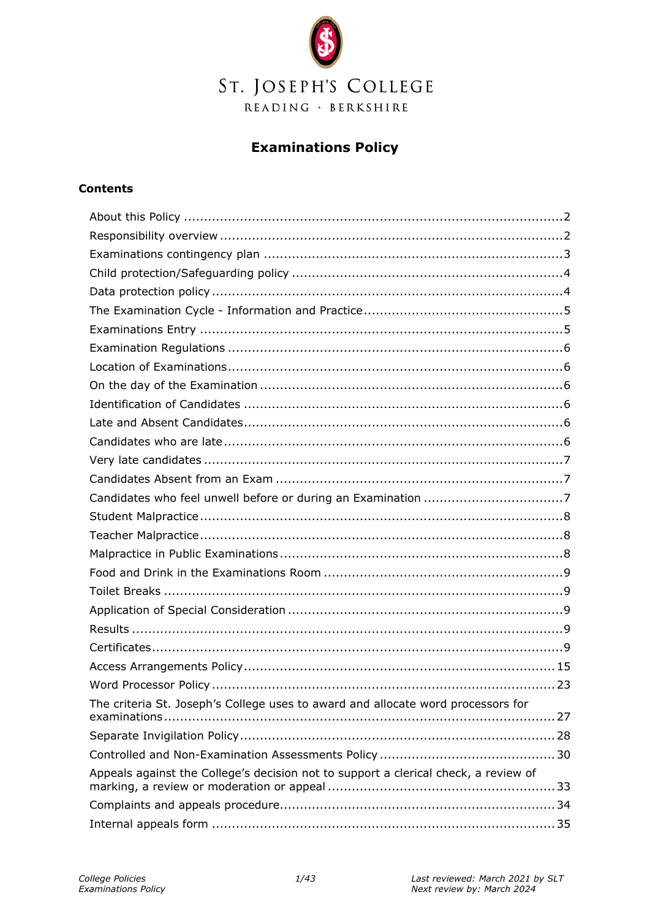

## **Examinations Policy**

#### **Contents**

| The criteria St. Joseph's College uses to award and allocate word processors for    |
|-------------------------------------------------------------------------------------|
|                                                                                     |
|                                                                                     |
| Appeals against the College's decision not to support a clerical check, a review of |
|                                                                                     |
|                                                                                     |
|                                                                                     |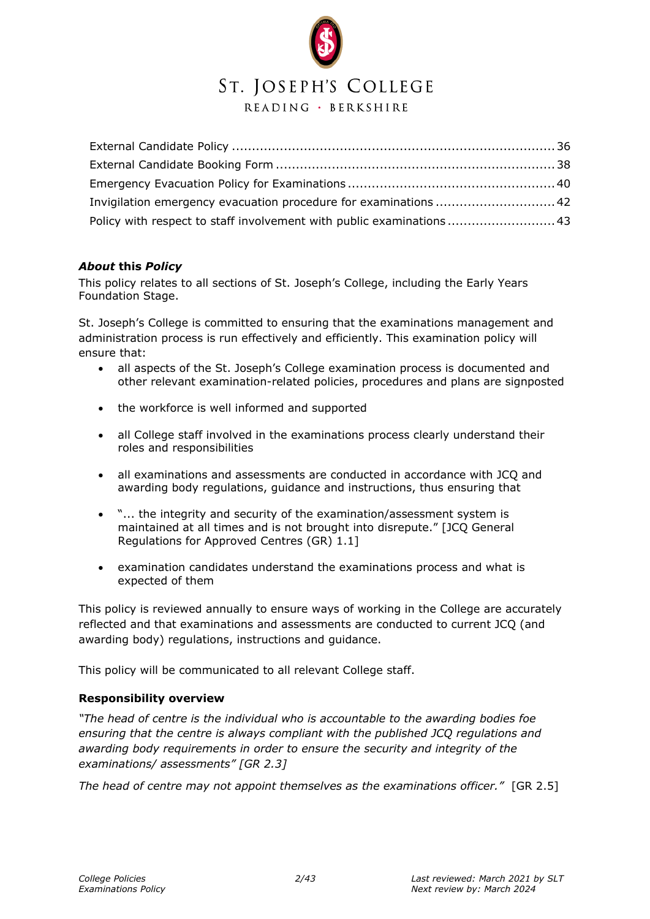## ST. JOSEPH'S COLLEGE

READING · BERKSHIRE

| Policy with respect to staff involvement with public examinations  43 |  |
|-----------------------------------------------------------------------|--|

#### <span id="page-1-0"></span>*About* **this** *Policy*

This policy relates to all sections of St. Joseph's College, including the Early Years Foundation Stage.

St. Joseph's College is committed to ensuring that the examinations management and administration process is run effectively and efficiently. This examination policy will ensure that:

- all aspects of the St. Joseph's College examination process is documented and other relevant examination-related policies, procedures and plans are signposted
- the workforce is well informed and supported
- all College staff involved in the examinations process clearly understand their roles and responsibilities
- all examinations and assessments are conducted in accordance with JCQ and awarding body regulations, guidance and instructions, thus ensuring that
- "... the integrity and security of the examination/assessment system is maintained at all times and is not brought into disrepute." [JCQ General Regulations for Approved Centres (GR) 1.1]
- examination candidates understand the examinations process and what is expected of them

This policy is reviewed annually to ensure ways of working in the College are accurately reflected and that examinations and assessments are conducted to current JCQ (and awarding body) regulations, instructions and guidance.

This policy will be communicated to all relevant College staff.

#### <span id="page-1-1"></span>**Responsibility overview**

*"The head of centre is the individual who is accountable to the awarding bodies foe ensuring that the centre is always compliant with the published JCQ regulations and awarding body requirements in order to ensure the security and integrity of the examinations/ assessments" [GR 2.3]* 

*The head of centre may not appoint themselves as the examinations officer."* [GR 2.5]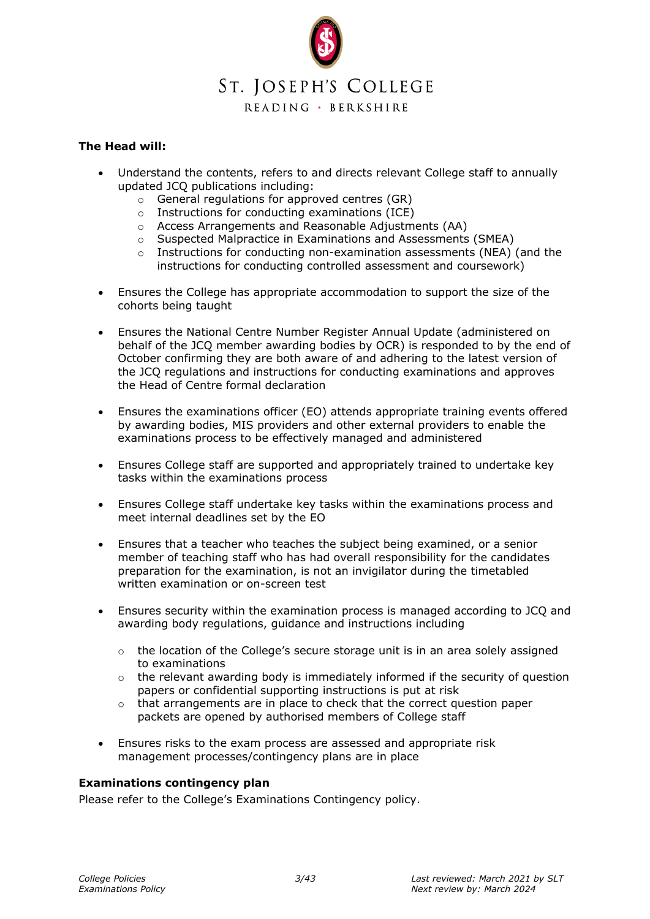

#### **The Head will:**

- Understand the contents, refers to and directs relevant College staff to annually updated JCQ publications including:
	- o General regulations for approved centres (GR)
	- o Instructions for conducting examinations (ICE)
	- o Access Arrangements and Reasonable Adjustments (AA)
	- o Suspected Malpractice in Examinations and Assessments (SMEA)
	- $\circ$  Instructions for conducting non-examination assessments (NEA) (and the instructions for conducting controlled assessment and coursework)
- Ensures the College has appropriate accommodation to support the size of the cohorts being taught
- Ensures the National Centre Number Register Annual Update (administered on behalf of the JCQ member awarding bodies by OCR) is responded to by the end of October confirming they are both aware of and adhering to the latest version of the JCQ regulations and instructions for conducting examinations and approves the Head of Centre formal declaration
- Ensures the examinations officer (EO) attends appropriate training events offered by awarding bodies, MIS providers and other external providers to enable the examinations process to be effectively managed and administered
- Ensures College staff are supported and appropriately trained to undertake key tasks within the examinations process
- Ensures College staff undertake key tasks within the examinations process and meet internal deadlines set by the EO
- Ensures that a teacher who teaches the subject being examined, or a senior member of teaching staff who has had overall responsibility for the candidates preparation for the examination, is not an invigilator during the timetabled written examination or on-screen test
- Ensures security within the examination process is managed according to JCQ and awarding body regulations, guidance and instructions including
	- o the location of the College's secure storage unit is in an area solely assigned to examinations
	- $\circ$  the relevant awarding body is immediately informed if the security of question papers or confidential supporting instructions is put at risk
	- $\circ$  that arrangements are in place to check that the correct question paper packets are opened by authorised members of College staff
- Ensures risks to the exam process are assessed and appropriate risk management processes/contingency plans are in place

#### <span id="page-2-0"></span>**Examinations contingency plan**

Please refer to the College's Examinations Contingency policy.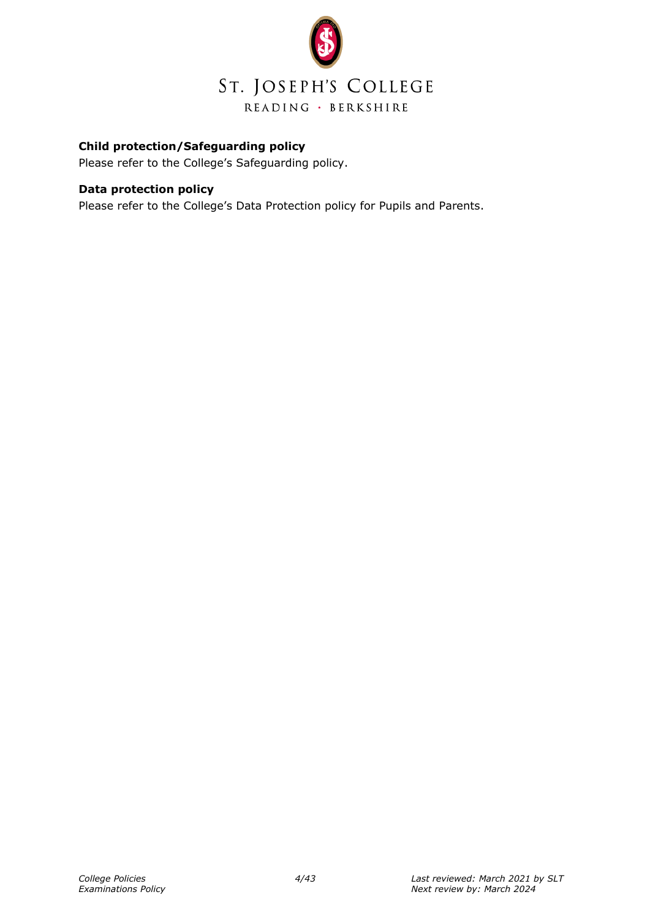

#### <span id="page-3-0"></span>**Child protection/Safeguarding policy**

Please refer to the College's Safeguarding policy.

#### <span id="page-3-1"></span>**Data protection policy**

Please refer to the College's Data Protection policy for Pupils and Parents.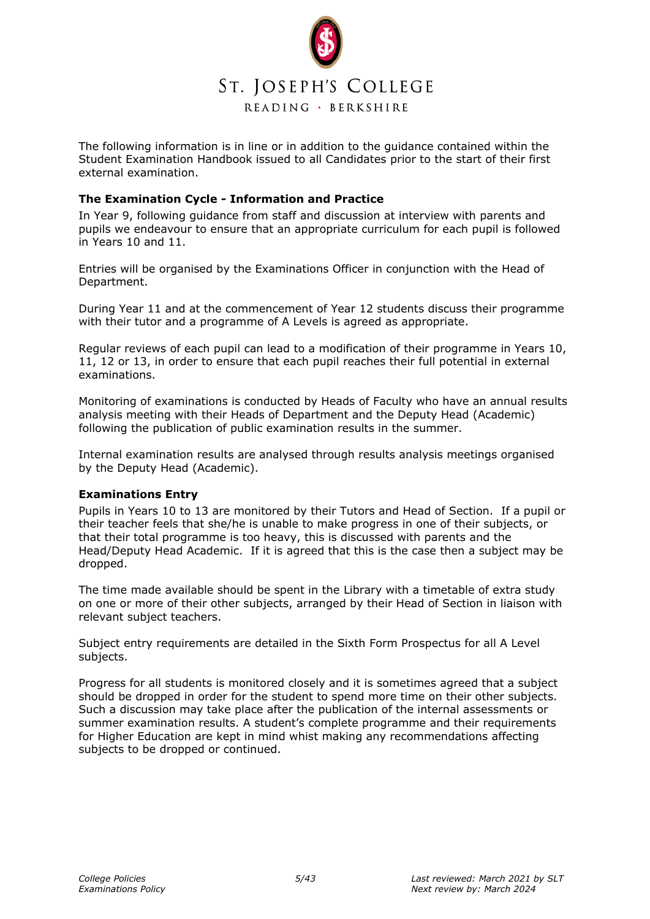

The following information is in line or in addition to the guidance contained within the Student Examination Handbook issued to all Candidates prior to the start of their first external examination.

#### <span id="page-4-0"></span>**The Examination Cycle - Information and Practice**

In Year 9, following guidance from staff and discussion at interview with parents and pupils we endeavour to ensure that an appropriate curriculum for each pupil is followed in Years 10 and 11.

Entries will be organised by the Examinations Officer in conjunction with the Head of Department.

During Year 11 and at the commencement of Year 12 students discuss their programme with their tutor and a programme of A Levels is agreed as appropriate.

Regular reviews of each pupil can lead to a modification of their programme in Years 10, 11, 12 or 13, in order to ensure that each pupil reaches their full potential in external examinations.

Monitoring of examinations is conducted by Heads of Faculty who have an annual results analysis meeting with their Heads of Department and the Deputy Head (Academic) following the publication of public examination results in the summer.

Internal examination results are analysed through results analysis meetings organised by the Deputy Head (Academic).

#### <span id="page-4-1"></span>**Examinations Entry**

Pupils in Years 10 to 13 are monitored by their Tutors and Head of Section. If a pupil or their teacher feels that she/he is unable to make progress in one of their subjects, or that their total programme is too heavy, this is discussed with parents and the Head/Deputy Head Academic. If it is agreed that this is the case then a subject may be dropped.

The time made available should be spent in the Library with a timetable of extra study on one or more of their other subjects, arranged by their Head of Section in liaison with relevant subject teachers.

Subject entry requirements are detailed in the Sixth Form Prospectus for all A Level subjects.

Progress for all students is monitored closely and it is sometimes agreed that a subject should be dropped in order for the student to spend more time on their other subjects. Such a discussion may take place after the publication of the internal assessments or summer examination results. A student's complete programme and their requirements for Higher Education are kept in mind whist making any recommendations affecting subjects to be dropped or continued.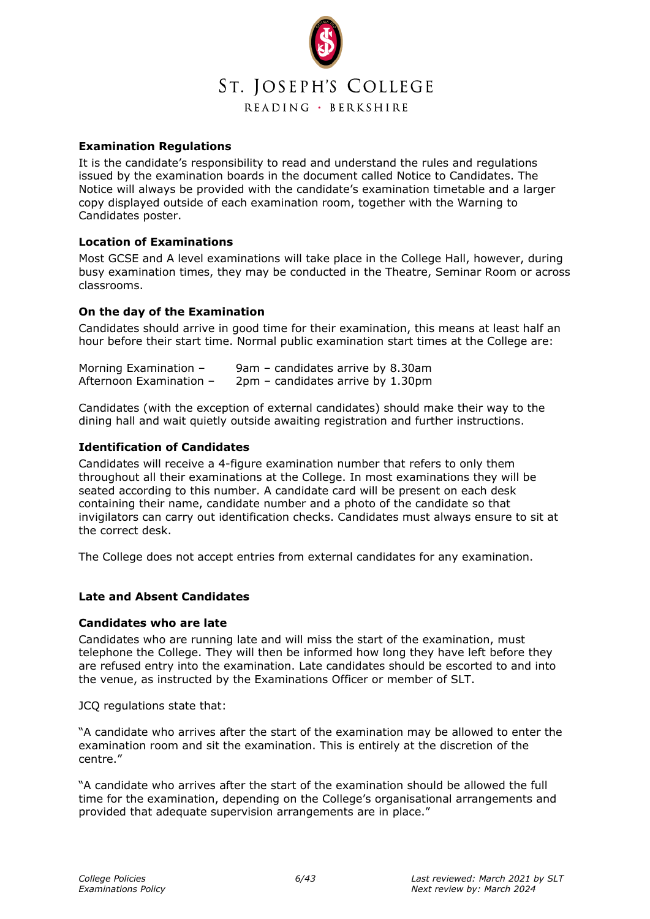

#### <span id="page-5-0"></span>**Examination Regulations**

It is the candidate's responsibility to read and understand the rules and regulations issued by the examination boards in the document called Notice to Candidates. The Notice will always be provided with the candidate's examination timetable and a larger copy displayed outside of each examination room, together with the Warning to Candidates poster.

#### <span id="page-5-1"></span>**Location of Examinations**

Most GCSE and A level examinations will take place in the College Hall, however, during busy examination times, they may be conducted in the Theatre, Seminar Room or across classrooms.

#### <span id="page-5-2"></span>**On the day of the Examination**

Candidates should arrive in good time for their examination, this means at least half an hour before their start time. Normal public examination start times at the College are:

| Morning Examination -   | 9am - candidates arrive by 8.30am   |
|-------------------------|-------------------------------------|
| Afternoon Examination - | $2pm -$ candidates arrive by 1.30pm |

Candidates (with the exception of external candidates) should make their way to the dining hall and wait quietly outside awaiting registration and further instructions.

#### <span id="page-5-3"></span>**Identification of Candidates**

Candidates will receive a 4-figure examination number that refers to only them throughout all their examinations at the College. In most examinations they will be seated according to this number. A candidate card will be present on each desk containing their name, candidate number and a photo of the candidate so that invigilators can carry out identification checks. Candidates must always ensure to sit at the correct desk.

The College does not accept entries from external candidates for any examination.

#### <span id="page-5-4"></span>**Late and Absent Candidates**

#### <span id="page-5-5"></span>**Candidates who are late**

Candidates who are running late and will miss the start of the examination, must telephone the College. They will then be informed how long they have left before they are refused entry into the examination. Late candidates should be escorted to and into the venue, as instructed by the Examinations Officer or member of SLT.

JCQ regulations state that:

"A candidate who arrives after the start of the examination may be allowed to enter the examination room and sit the examination. This is entirely at the discretion of the centre."

"A candidate who arrives after the start of the examination should be allowed the full time for the examination, depending on the College's organisational arrangements and provided that adequate supervision arrangements are in place."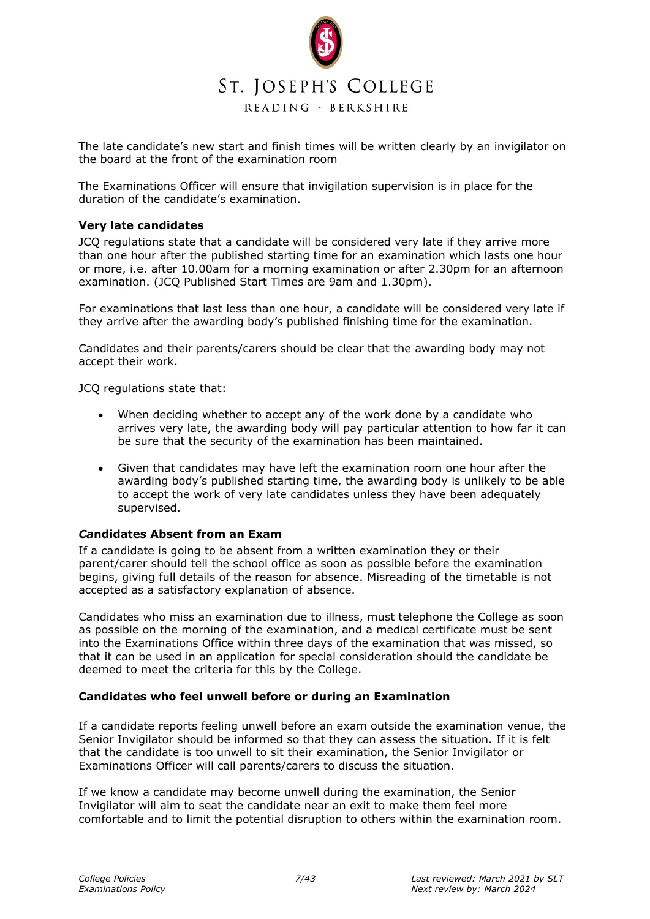

The late candidate's new start and finish times will be written clearly by an invigilator on the board at the front of the examination room

The Examinations Officer will ensure that invigilation supervision is in place for the duration of the candidate's examination.

#### <span id="page-6-0"></span>**Very late candidates**

JCQ regulations state that a candidate will be considered very late if they arrive more than one hour after the published starting time for an examination which lasts one hour or more, i.e. after 10.00am for a morning examination or after 2.30pm for an afternoon examination. (JCQ Published Start Times are 9am and 1.30pm).

For examinations that last less than one hour, a candidate will be considered very late if they arrive after the awarding body's published finishing time for the examination.

Candidates and their parents/carers should be clear that the awarding body may not accept their work.

JCQ regulations state that:

- When deciding whether to accept any of the work done by a candidate who arrives very late, the awarding body will pay particular attention to how far it can be sure that the security of the examination has been maintained.
- Given that candidates may have left the examination room one hour after the awarding body's published starting time, the awarding body is unlikely to be able to accept the work of very late candidates unless they have been adequately supervised.

#### <span id="page-6-1"></span>*Ca***ndidates Absent from an Exam**

If a candidate is going to be absent from a written examination they or their parent/carer should tell the school office as soon as possible before the examination begins, giving full details of the reason for absence. Misreading of the timetable is not accepted as a satisfactory explanation of absence.

Candidates who miss an examination due to illness, must telephone the College as soon as possible on the morning of the examination, and a medical certificate must be sent into the Examinations Office within three days of the examination that was missed, so that it can be used in an application for special consideration should the candidate be deemed to meet the criteria for this by the College.

#### <span id="page-6-2"></span>**Candidates who feel unwell before or during an Examination**

If a candidate reports feeling unwell before an exam outside the examination venue, the Senior Invigilator should be informed so that they can assess the situation. If it is felt that the candidate is too unwell to sit their examination, the Senior Invigilator or Examinations Officer will call parents/carers to discuss the situation.

If we know a candidate may become unwell during the examination, the Senior Invigilator will aim to seat the candidate near an exit to make them feel more comfortable and to limit the potential disruption to others within the examination room.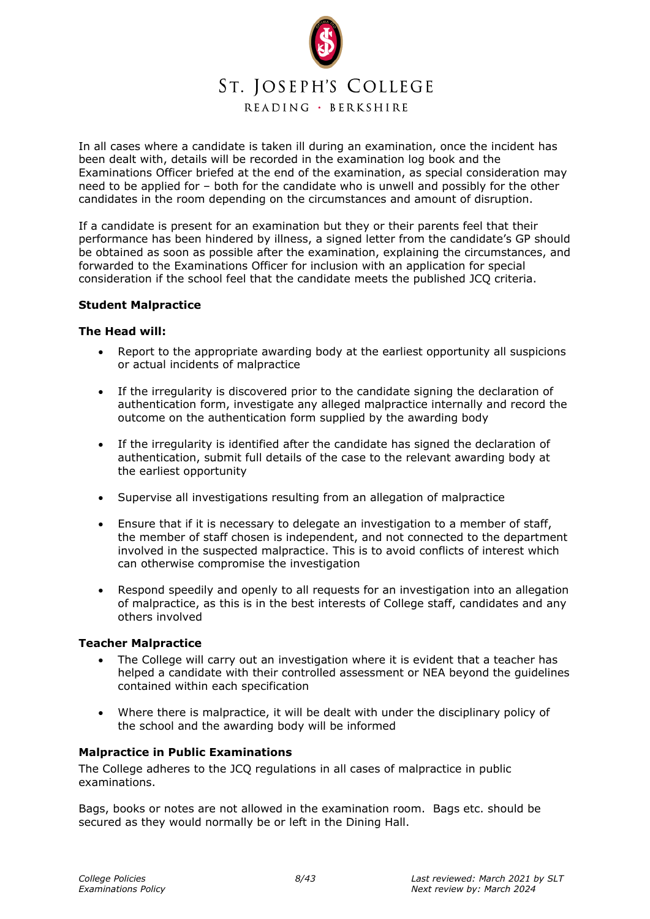

In all cases where a candidate is taken ill during an examination, once the incident has been dealt with, details will be recorded in the examination log book and the Examinations Officer briefed at the end of the examination, as special consideration may need to be applied for – both for the candidate who is unwell and possibly for the other candidates in the room depending on the circumstances and amount of disruption.

If a candidate is present for an examination but they or their parents feel that their performance has been hindered by illness, a signed letter from the candidate's GP should be obtained as soon as possible after the examination, explaining the circumstances, and forwarded to the Examinations Officer for inclusion with an application for special consideration if the school feel that the candidate meets the published JCQ criteria.

#### <span id="page-7-0"></span>**Student Malpractice**

#### **The Head will:**

- Report to the appropriate awarding body at the earliest opportunity all suspicions or actual incidents of malpractice
- If the irregularity is discovered prior to the candidate signing the declaration of authentication form, investigate any alleged malpractice internally and record the outcome on the authentication form supplied by the awarding body
- If the irregularity is identified after the candidate has signed the declaration of authentication, submit full details of the case to the relevant awarding body at the earliest opportunity
- Supervise all investigations resulting from an allegation of malpractice
- Ensure that if it is necessary to delegate an investigation to a member of staff, the member of staff chosen is independent, and not connected to the department involved in the suspected malpractice. This is to avoid conflicts of interest which can otherwise compromise the investigation
- Respond speedily and openly to all requests for an investigation into an allegation of malpractice, as this is in the best interests of College staff, candidates and any others involved

#### <span id="page-7-1"></span>**Teacher Malpractice**

- The College will carry out an investigation where it is evident that a teacher has helped a candidate with their controlled assessment or NEA beyond the guidelines contained within each specification
- Where there is malpractice, it will be dealt with under the disciplinary policy of the school and the awarding body will be informed

#### <span id="page-7-2"></span>**Malpractice in Public Examinations**

The College adheres to the JCQ regulations in all cases of malpractice in public examinations.

Bags, books or notes are not allowed in the examination room. Bags etc. should be secured as they would normally be or left in the Dining Hall.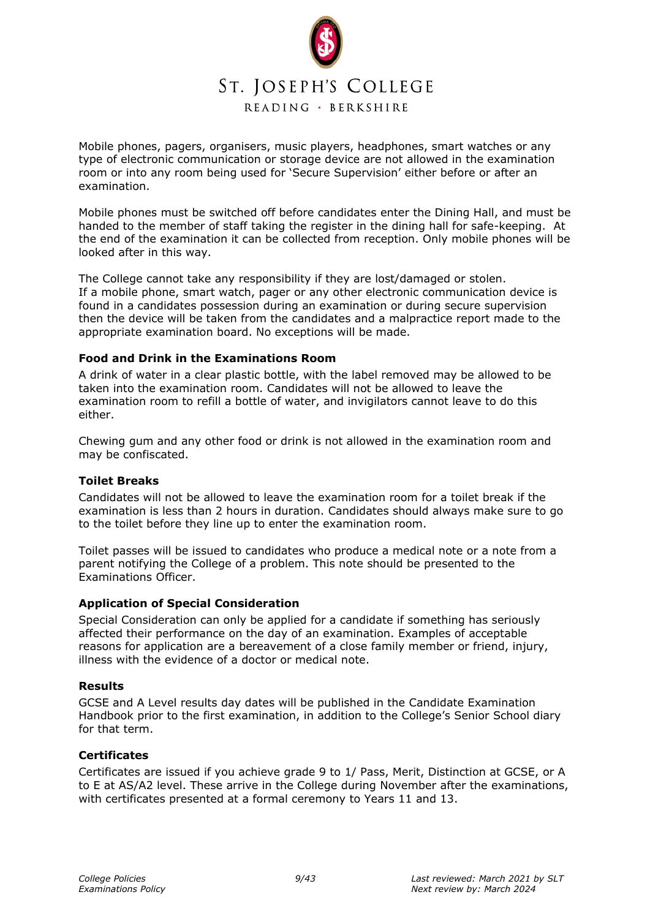

Mobile phones, pagers, organisers, music players, headphones, smart watches or any type of electronic communication or storage device are not allowed in the examination room or into any room being used for 'Secure Supervision' either before or after an examination.

Mobile phones must be switched off before candidates enter the Dining Hall, and must be handed to the member of staff taking the register in the dining hall for safe-keeping. At the end of the examination it can be collected from reception. Only mobile phones will be looked after in this way.

The College cannot take any responsibility if they are lost/damaged or stolen. If a mobile phone, smart watch, pager or any other electronic communication device is found in a candidates possession during an examination or during secure supervision then the device will be taken from the candidates and a malpractice report made to the appropriate examination board. No exceptions will be made.

#### <span id="page-8-0"></span>**Food and Drink in the Examinations Room**

A drink of water in a clear plastic bottle, with the label removed may be allowed to be taken into the examination room. Candidates will not be allowed to leave the examination room to refill a bottle of water, and invigilators cannot leave to do this either.

Chewing gum and any other food or drink is not allowed in the examination room and may be confiscated.

#### <span id="page-8-1"></span>**Toilet Breaks**

Candidates will not be allowed to leave the examination room for a toilet break if the examination is less than 2 hours in duration. Candidates should always make sure to go to the toilet before they line up to enter the examination room.

Toilet passes will be issued to candidates who produce a medical note or a note from a parent notifying the College of a problem. This note should be presented to the Examinations Officer.

#### <span id="page-8-2"></span>**Application of Special Consideration**

Special Consideration can only be applied for a candidate if something has seriously affected their performance on the day of an examination. Examples of acceptable reasons for application are a bereavement of a close family member or friend, injury, illness with the evidence of a doctor or medical note.

#### <span id="page-8-3"></span>**Results**

GCSE and A Level results day dates will be published in the Candidate Examination Handbook prior to the first examination, in addition to the College's Senior School diary for that term.

#### <span id="page-8-4"></span>**Certificates**

Certificates are issued if you achieve grade 9 to 1/ Pass, Merit, Distinction at GCSE, or A to E at AS/A2 level. These arrive in the College during November after the examinations, with certificates presented at a formal ceremony to Years 11 and 13.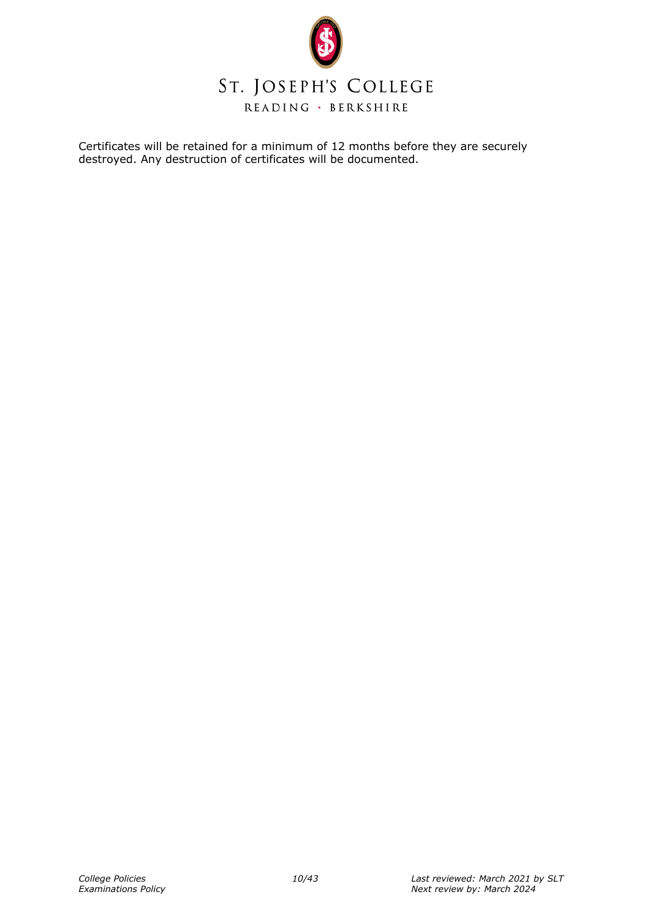

Certificates will be retained for a minimum of 12 months before they are securely destroyed. Any destruction of certificates will be documented.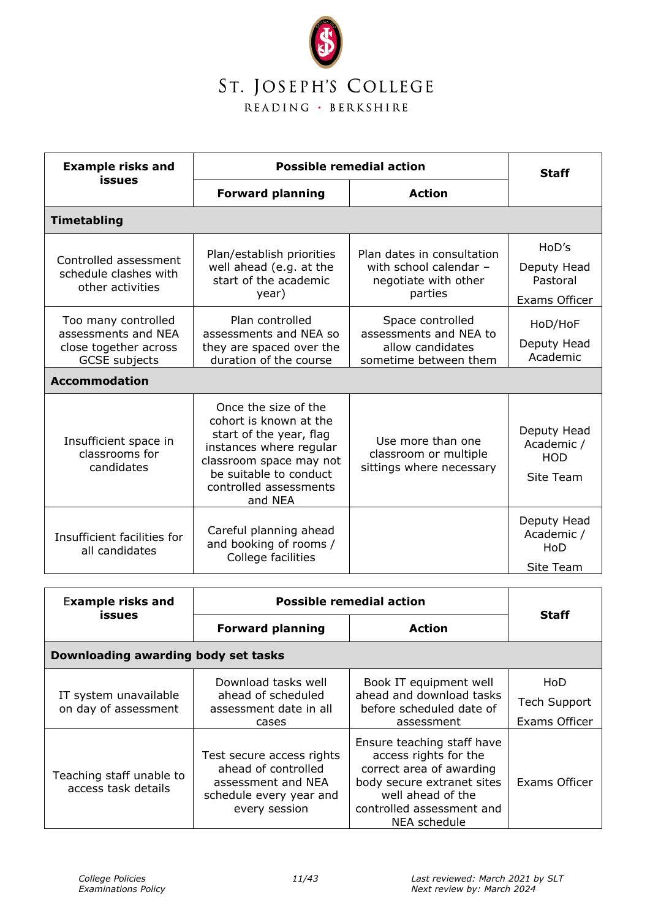

| <b>Example risks and</b>                                                                                            | <b>Possible remedial action</b>                                                                                                                                                                |                                                                                         | <b>Staff</b>                                                   |
|---------------------------------------------------------------------------------------------------------------------|------------------------------------------------------------------------------------------------------------------------------------------------------------------------------------------------|-----------------------------------------------------------------------------------------|----------------------------------------------------------------|
| issues                                                                                                              | <b>Forward planning</b>                                                                                                                                                                        | <b>Action</b>                                                                           |                                                                |
| <b>Timetabling</b>                                                                                                  |                                                                                                                                                                                                |                                                                                         |                                                                |
| Controlled assessment<br>schedule clashes with<br>other activities                                                  | Plan/establish priorities<br>well ahead (e.g. at the<br>start of the academic<br>year)                                                                                                         | Plan dates in consultation<br>with school calendar -<br>negotiate with other<br>parties | H <sub>0</sub> D's<br>Deputy Head<br>Pastoral<br>Exams Officer |
| Too many controlled<br>assessments and NEA<br>close together across<br><b>GCSE</b> subjects<br><b>Accommodation</b> | Plan controlled<br>assessments and NEA so<br>they are spaced over the<br>duration of the course                                                                                                | Space controlled<br>assessments and NEA to<br>allow candidates<br>sometime between them | HoD/HoF<br>Deputy Head<br>Academic                             |
| Insufficient space in<br>classrooms for<br>candidates                                                               | Once the size of the<br>cohort is known at the<br>start of the year, flag<br>instances where regular<br>classroom space may not<br>be suitable to conduct<br>controlled assessments<br>and NEA | Use more than one<br>classroom or multiple<br>sittings where necessary                  | Deputy Head<br>Academic /<br><b>HOD</b><br>Site Team           |
| Insufficient facilities for<br>all candidates                                                                       | Careful planning ahead<br>and booking of rooms /<br>College facilities                                                                                                                         |                                                                                         | Deputy Head<br>Academic /<br>HoD<br>Site Team                  |

| <b>Example risks and</b>                        | <b>Possible remedial action</b>                                                                                    |                                                                                                                                                                                 |                                             |
|-------------------------------------------------|--------------------------------------------------------------------------------------------------------------------|---------------------------------------------------------------------------------------------------------------------------------------------------------------------------------|---------------------------------------------|
| issues                                          | <b>Forward planning</b>                                                                                            | <b>Action</b>                                                                                                                                                                   | <b>Staff</b>                                |
| Downloading awarding body set tasks             |                                                                                                                    |                                                                                                                                                                                 |                                             |
| IT system unavailable<br>on day of assessment   | Download tasks well<br>ahead of scheduled<br>assessment date in all<br>cases                                       | Book IT equipment well<br>ahead and download tasks<br>before scheduled date of<br>assessment                                                                                    | HoD<br><b>Tech Support</b><br>Exams Officer |
| Teaching staff unable to<br>access task details | Test secure access rights<br>ahead of controlled<br>assessment and NEA<br>schedule every year and<br>every session | Ensure teaching staff have<br>access rights for the<br>correct area of awarding<br>body secure extranet sites<br>well ahead of the<br>controlled assessment and<br>NEA schedule | Exams Officer                               |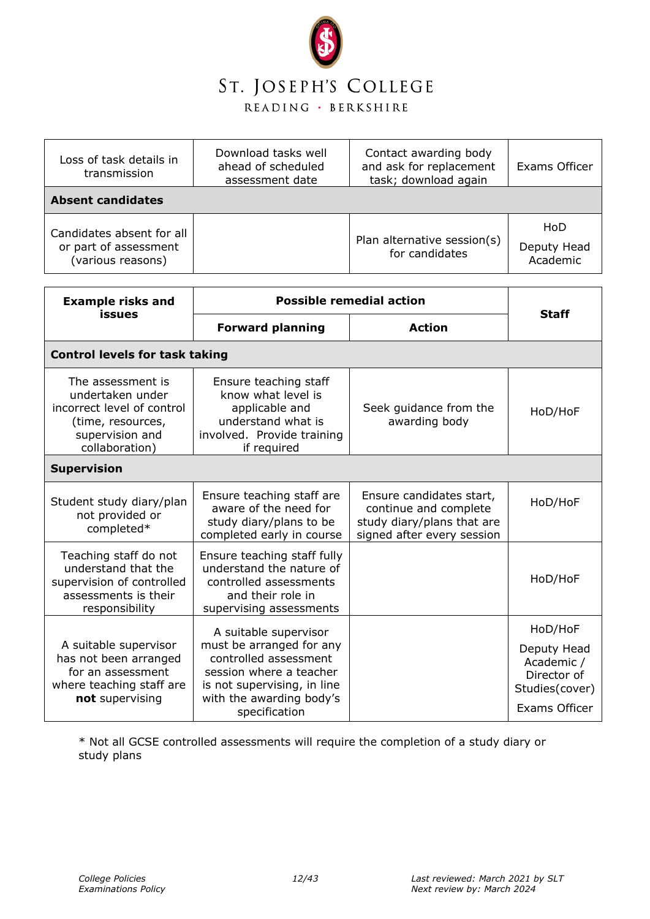

| Loss of task details in<br>transmission                                 | Download tasks well<br>ahead of scheduled<br>assessment date | Contact awarding body<br>and ask for replacement<br>task; download again | Exams Officer                  |
|-------------------------------------------------------------------------|--------------------------------------------------------------|--------------------------------------------------------------------------|--------------------------------|
| <b>Absent candidates</b>                                                |                                                              |                                                                          |                                |
| Candidates absent for all<br>or part of assessment<br>(various reasons) |                                                              | Plan alternative session(s)<br>for candidates                            | HoD<br>Deputy Head<br>Academic |

| <b>Example risks and</b>                                                                                                      | <b>Possible remedial action</b>                                                                                                                                                   |                                                                                                               |                                                                                        |  |
|-------------------------------------------------------------------------------------------------------------------------------|-----------------------------------------------------------------------------------------------------------------------------------------------------------------------------------|---------------------------------------------------------------------------------------------------------------|----------------------------------------------------------------------------------------|--|
| issues                                                                                                                        | <b>Forward planning</b>                                                                                                                                                           | <b>Action</b>                                                                                                 | <b>Staff</b>                                                                           |  |
| <b>Control levels for task taking</b>                                                                                         |                                                                                                                                                                                   |                                                                                                               |                                                                                        |  |
| The assessment is<br>undertaken under<br>incorrect level of control<br>(time, resources,<br>supervision and<br>collaboration) | Ensure teaching staff<br>know what level is<br>applicable and<br>understand what is<br>involved. Provide training<br>if required                                                  | Seek guidance from the<br>awarding body                                                                       | HoD/HoF                                                                                |  |
| <b>Supervision</b>                                                                                                            |                                                                                                                                                                                   |                                                                                                               |                                                                                        |  |
| Student study diary/plan<br>not provided or<br>completed*                                                                     | Ensure teaching staff are<br>aware of the need for<br>study diary/plans to be<br>completed early in course                                                                        | Ensure candidates start,<br>continue and complete<br>study diary/plans that are<br>signed after every session | HoD/HoF                                                                                |  |
| Teaching staff do not<br>understand that the<br>supervision of controlled<br>assessments is their<br>responsibility           | Ensure teaching staff fully<br>understand the nature of<br>controlled assessments<br>and their role in<br>supervising assessments                                                 |                                                                                                               | HoD/HoF                                                                                |  |
| A suitable supervisor<br>has not been arranged<br>for an assessment<br>where teaching staff are<br>not supervising            | A suitable supervisor<br>must be arranged for any<br>controlled assessment<br>session where a teacher<br>is not supervising, in line<br>with the awarding body's<br>specification |                                                                                                               | HoD/HoF<br>Deputy Head<br>Academic /<br>Director of<br>Studies(cover)<br>Exams Officer |  |

\* Not all GCSE controlled assessments will require the completion of a study diary or study plans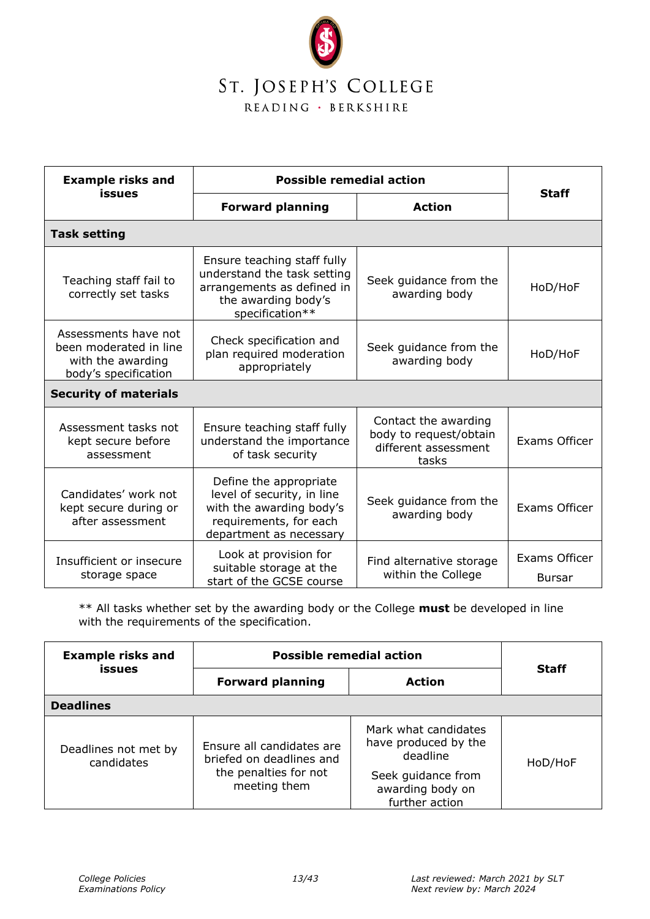

| <b>Example risks and</b>                                                                    | <b>Possible remedial action</b>                                                                                                       |                                                                                 |                                |
|---------------------------------------------------------------------------------------------|---------------------------------------------------------------------------------------------------------------------------------------|---------------------------------------------------------------------------------|--------------------------------|
| <b>issues</b>                                                                               | <b>Forward planning</b>                                                                                                               | <b>Action</b>                                                                   | <b>Staff</b>                   |
| <b>Task setting</b>                                                                         |                                                                                                                                       |                                                                                 |                                |
| Teaching staff fail to<br>correctly set tasks                                               | Ensure teaching staff fully<br>understand the task setting<br>arrangements as defined in<br>the awarding body's<br>specification**    | Seek guidance from the<br>awarding body                                         | HoD/HoF                        |
| Assessments have not<br>been moderated in line<br>with the awarding<br>body's specification | Check specification and<br>plan required moderation<br>appropriately                                                                  | Seek guidance from the<br>awarding body                                         | HoD/HoF                        |
| <b>Security of materials</b>                                                                |                                                                                                                                       |                                                                                 |                                |
| Assessment tasks not<br>kept secure before<br>assessment                                    | Ensure teaching staff fully<br>understand the importance<br>of task security                                                          | Contact the awarding<br>body to request/obtain<br>different assessment<br>tasks | Exams Officer                  |
| Candidates' work not<br>kept secure during or<br>after assessment                           | Define the appropriate<br>level of security, in line<br>with the awarding body's<br>requirements, for each<br>department as necessary | Seek guidance from the<br>awarding body                                         | Exams Officer                  |
| Insufficient or insecure<br>storage space                                                   | Look at provision for<br>suitable storage at the<br>start of the GCSE course                                                          | Find alternative storage<br>within the College                                  | Exams Officer<br><b>Bursar</b> |

\*\* All tasks whether set by the awarding body or the College **must** be developed in line with the requirements of the specification.

| <b>Example risks and</b>           | <b>Possible remedial action</b>                                                                |                                                                                                                      | <b>Staff</b> |
|------------------------------------|------------------------------------------------------------------------------------------------|----------------------------------------------------------------------------------------------------------------------|--------------|
| issues                             | <b>Forward planning</b>                                                                        | <b>Action</b>                                                                                                        |              |
| <b>Deadlines</b>                   |                                                                                                |                                                                                                                      |              |
| Deadlines not met by<br>candidates | Ensure all candidates are<br>briefed on deadlines and<br>the penalties for not<br>meeting them | Mark what candidates<br>have produced by the<br>deadline<br>Seek guidance from<br>awarding body on<br>further action | HoD/HoF      |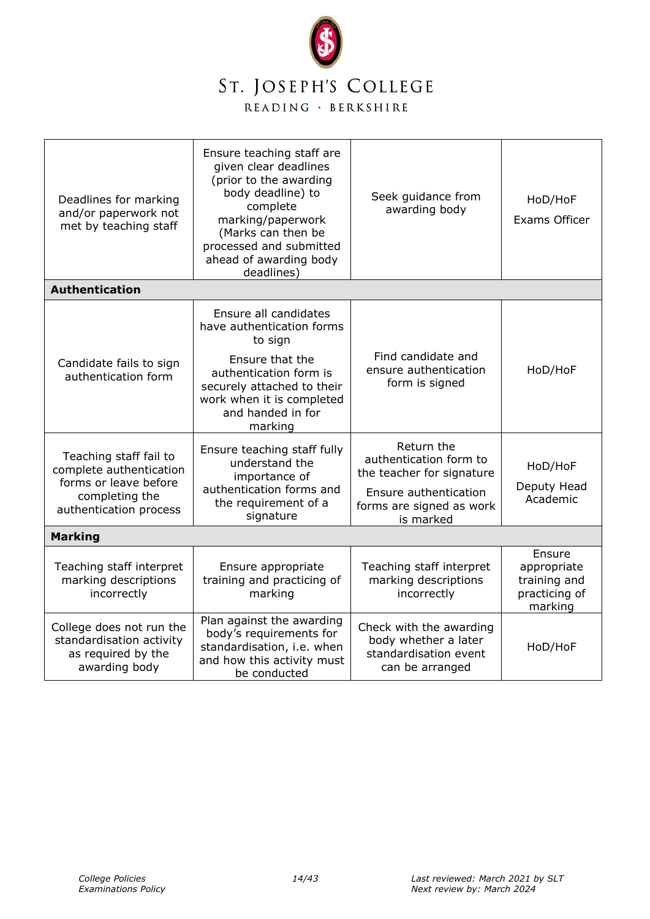

| Deadlines for marking<br>and/or paperwork not<br>met by teaching staff<br><b>Authentication</b>                                    | Ensure teaching staff are<br>given clear deadlines<br>(prior to the awarding<br>body deadline) to<br>complete<br>marking/paperwork<br>(Marks can then be<br>processed and submitted<br>ahead of awarding body<br>deadlines) | Seek guidance from<br>awarding body                                                         | HoD/HoF<br>Exams Officer                                          |
|------------------------------------------------------------------------------------------------------------------------------------|-----------------------------------------------------------------------------------------------------------------------------------------------------------------------------------------------------------------------------|---------------------------------------------------------------------------------------------|-------------------------------------------------------------------|
|                                                                                                                                    |                                                                                                                                                                                                                             |                                                                                             |                                                                   |
|                                                                                                                                    | Ensure all candidates<br>have authentication forms<br>to sign                                                                                                                                                               |                                                                                             |                                                                   |
| Candidate fails to sign<br>authentication form                                                                                     | Ensure that the<br>authentication form is<br>securely attached to their<br>work when it is completed<br>and handed in for<br>marking                                                                                        | Find candidate and<br>ensure authentication<br>form is signed                               | HoD/HoF                                                           |
| Teaching staff fail to<br>complete authentication                                                                                  | Ensure teaching staff fully<br>understand the<br>importance of                                                                                                                                                              | Return the<br>authentication form to<br>the teacher for signature                           | HoD/HoF                                                           |
| forms or leave before<br>authentication forms and<br>completing the<br>the requirement of a<br>authentication process<br>signature | Ensure authentication<br>forms are signed as work<br>is marked                                                                                                                                                              | Deputy Head<br>Academic                                                                     |                                                                   |
| <b>Marking</b>                                                                                                                     |                                                                                                                                                                                                                             |                                                                                             |                                                                   |
| Teaching staff interpret<br>marking descriptions<br>incorrectly                                                                    | Ensure appropriate<br>training and practicing of<br>marking                                                                                                                                                                 | Teaching staff interpret<br>marking descriptions<br>incorrectly                             | Ensure<br>appropriate<br>training and<br>practicing of<br>marking |
| College does not run the<br>standardisation activity<br>as required by the<br>awarding body                                        | Plan against the awarding<br>body's requirements for<br>standardisation, i.e. when<br>and how this activity must<br>be conducted                                                                                            | Check with the awarding<br>body whether a later<br>standardisation event<br>can be arranged | HoD/HoF                                                           |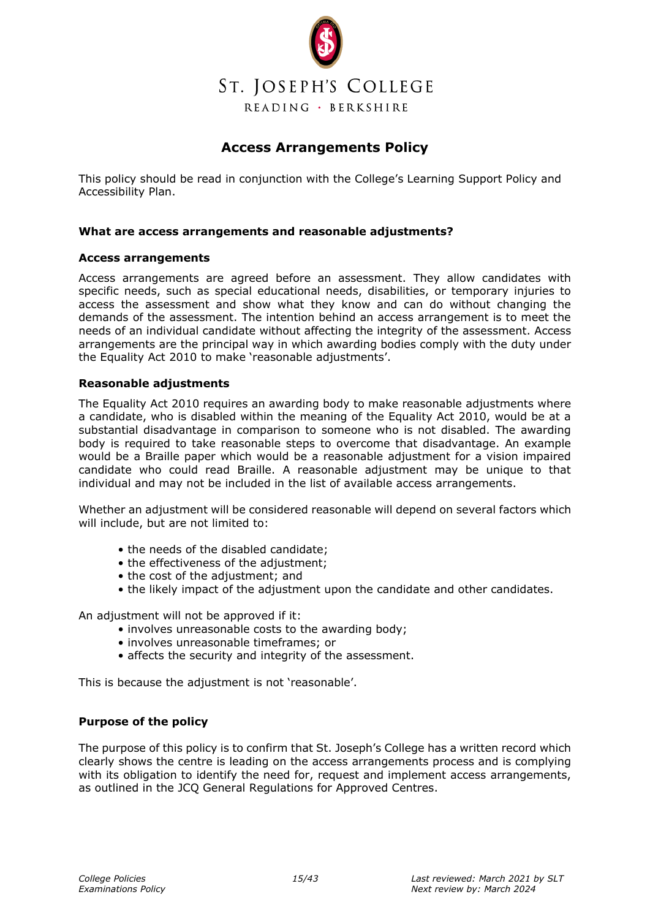

### **Access Arrangements Policy**

<span id="page-14-0"></span>This policy should be read in conjunction with the College's Learning Support Policy and Accessibility Plan.

#### **What are access arrangements and reasonable adjustments?**

#### **Access arrangements**

Access arrangements are agreed before an assessment. They allow candidates with specific needs, such as special educational needs, disabilities, or temporary injuries to access the assessment and show what they know and can do without changing the demands of the assessment. The intention behind an access arrangement is to meet the needs of an individual candidate without affecting the integrity of the assessment. Access arrangements are the principal way in which awarding bodies comply with the duty under the Equality Act 2010 to make 'reasonable adjustments'.

#### **Reasonable adjustments**

The Equality Act 2010 requires an awarding body to make reasonable adjustments where a candidate, who is disabled within the meaning of the Equality Act 2010, would be at a substantial disadvantage in comparison to someone who is not disabled. The awarding body is required to take reasonable steps to overcome that disadvantage. An example would be a Braille paper which would be a reasonable adjustment for a vision impaired candidate who could read Braille. A reasonable adjustment may be unique to that individual and may not be included in the list of available access arrangements.

Whether an adjustment will be considered reasonable will depend on several factors which will include, but are not limited to:

- the needs of the disabled candidate;
- the effectiveness of the adjustment;
- the cost of the adjustment; and
- the likely impact of the adjustment upon the candidate and other candidates.

An adjustment will not be approved if it:

- involves unreasonable costs to the awarding body;
- involves unreasonable timeframes; or
- affects the security and integrity of the assessment.

This is because the adjustment is not 'reasonable'.

#### **Purpose of the policy**

The purpose of this policy is to confirm that St. Joseph's College has a written record which clearly shows the centre is leading on the access arrangements process and is complying with its obligation to identify the need for, request and implement access arrangements, as outlined in the JCQ General Regulations for Approved Centres.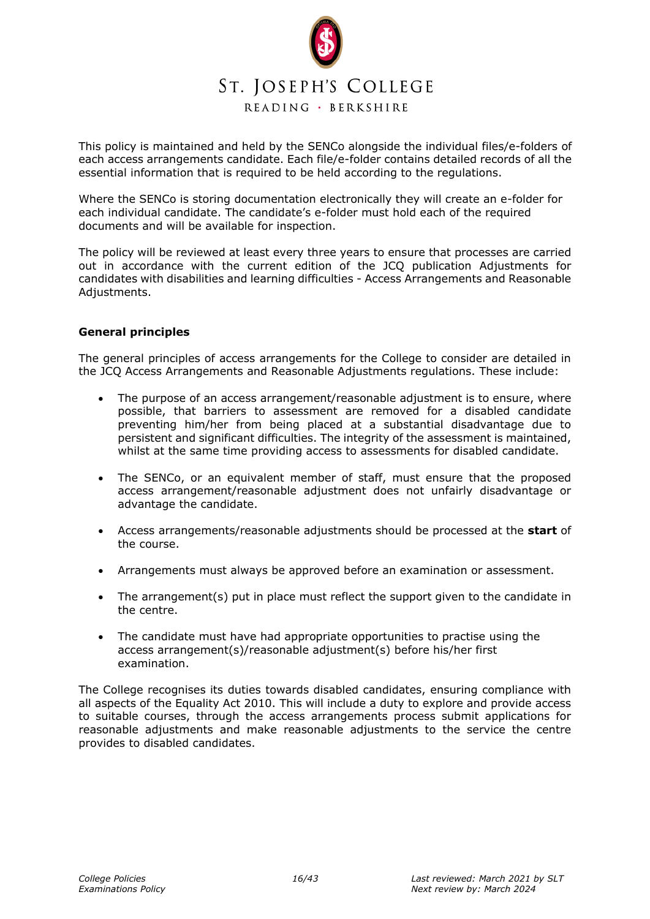

This policy is maintained and held by the SENCo alongside the individual files/e-folders of each access arrangements candidate. Each file/e-folder contains detailed records of all the essential information that is required to be held according to the regulations.

Where the SENCo is storing documentation electronically they will create an e-folder for each individual candidate. The candidate's e-folder must hold each of the required documents and will be available for inspection.

The policy will be reviewed at least every three years to ensure that processes are carried out in accordance with the current edition of the JCQ publication Adjustments for candidates with disabilities and learning difficulties - Access Arrangements and Reasonable Adjustments.

#### **General principles**

The general principles of access arrangements for the College to consider are detailed in the JCQ Access Arrangements and Reasonable Adjustments regulations. These include:

- The purpose of an access arrangement/reasonable adjustment is to ensure, where possible, that barriers to assessment are removed for a disabled candidate preventing him/her from being placed at a substantial disadvantage due to persistent and significant difficulties. The integrity of the assessment is maintained, whilst at the same time providing access to assessments for disabled candidate.
- The SENCo, or an equivalent member of staff, must ensure that the proposed access arrangement/reasonable adjustment does not unfairly disadvantage or advantage the candidate.
- Access arrangements/reasonable adjustments should be processed at the **start** of the course.
- Arrangements must always be approved before an examination or assessment.
- The arrangement(s) put in place must reflect the support given to the candidate in the centre.
- The candidate must have had appropriate opportunities to practise using the access arrangement(s)/reasonable adjustment(s) before his/her first examination.

The College recognises its duties towards disabled candidates, ensuring compliance with all aspects of the Equality Act 2010. This will include a duty to explore and provide access to suitable courses, through the access arrangements process submit applications for reasonable adjustments and make reasonable adjustments to the service the centre provides to disabled candidates.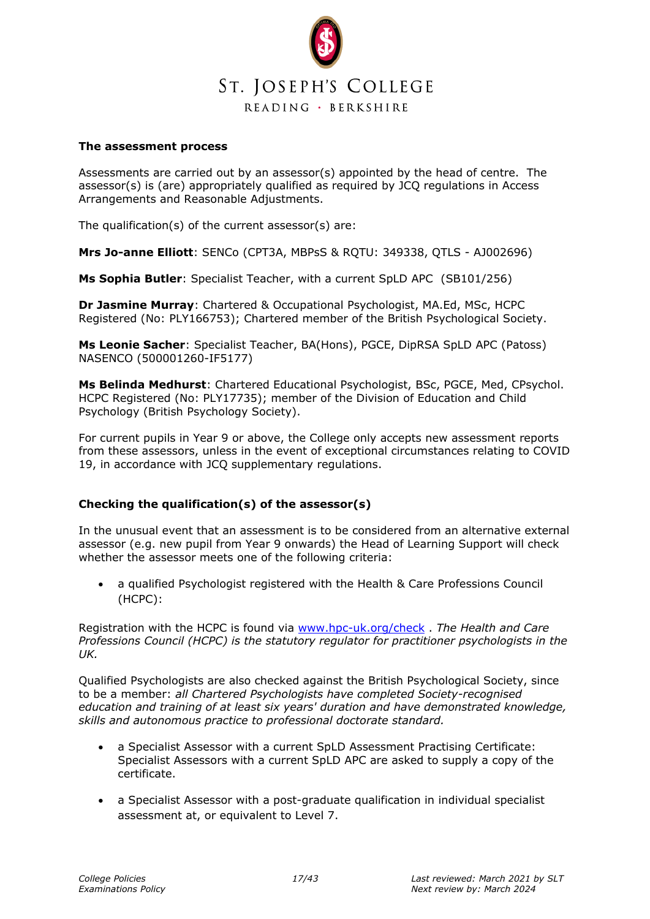

#### **The assessment process**

Assessments are carried out by an assessor(s) appointed by the head of centre. The assessor(s) is (are) appropriately qualified as required by JCQ regulations in Access Arrangements and Reasonable Adjustments.

The qualification(s) of the current assessor(s) are:

**Mrs Jo-anne Elliott**: SENCo (CPT3A, MBPsS & RQTU: 349338, QTLS - AJ002696)

**Ms Sophia Butler**: Specialist Teacher, with a current SpLD APC (SB101/256)

**Dr Jasmine Murray**: Chartered & Occupational Psychologist, MA.Ed, MSc, HCPC Registered (No: PLY166753); Chartered member of the British Psychological Society.

**Ms Leonie Sacher**: Specialist Teacher, BA(Hons), PGCE, DipRSA SpLD APC (Patoss) NASENCO (500001260-IF5177)

**Ms Belinda Medhurst**: Chartered Educational Psychologist, BSc, PGCE, Med, CPsychol. HCPC Registered (No: PLY17735); member of the Division of Education and Child Psychology (British Psychology Society).

For current pupils in Year 9 or above, the College only accepts new assessment reports from these assessors, unless in the event of exceptional circumstances relating to COVID 19, in accordance with JCQ supplementary regulations.

#### **Checking the qualification(s) of the assessor(s)**

In the unusual event that an assessment is to be considered from an alternative external assessor (e.g. new pupil from Year 9 onwards) the Head of Learning Support will check whether the assessor meets one of the following criteria:

• a qualified Psychologist registered with the Health & Care Professions Council (HCPC):

Registration with the HCPC is found via [www.hpc-uk.org/check](http://www.hpc-uk.org/check) . *The Health and Care Professions Council (HCPC) is the statutory regulator for practitioner psychologists in the UK.* 

Qualified Psychologists are also checked against the British Psychological Society, since to be a member: *all Chartered Psychologists have completed Society-recognised education and training of at least six years' duration and have demonstrated knowledge, skills and autonomous practice to professional doctorate standard.*

- a Specialist Assessor with a current SpLD Assessment Practising Certificate: Specialist Assessors with a current SpLD APC are asked to supply a copy of the certificate.
- a Specialist Assessor with a post-graduate qualification in individual specialist assessment at, or equivalent to Level 7.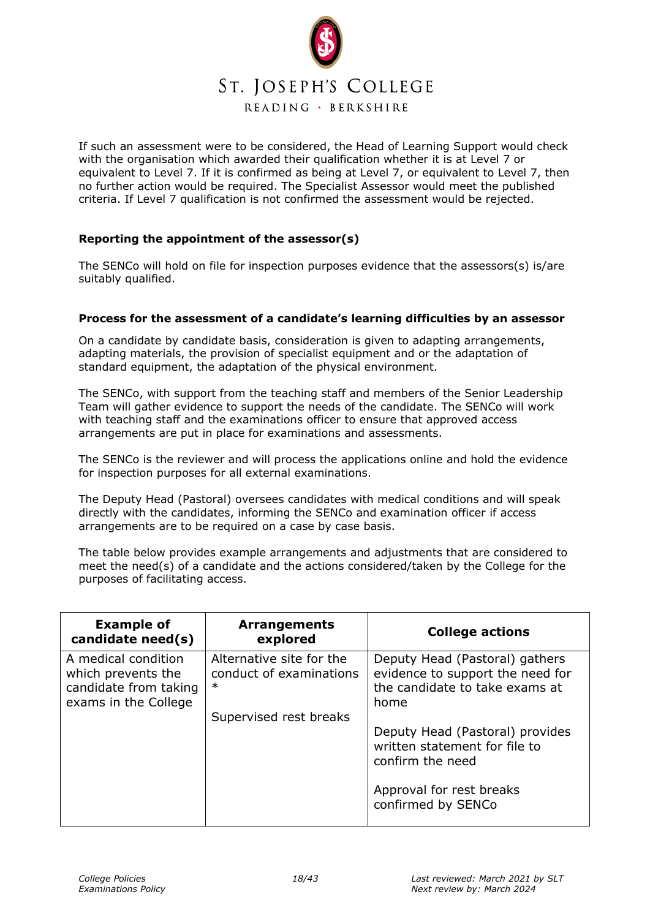

If such an assessment were to be considered, the Head of Learning Support would check with the organisation which awarded their qualification whether it is at Level 7 or equivalent to Level 7. If it is confirmed as being at Level 7, or equivalent to Level 7, then no further action would be required. The Specialist Assessor would meet the published criteria. If Level 7 qualification is not confirmed the assessment would be rejected.

#### **Reporting the appointment of the assessor(s)**

The SENCo will hold on file for inspection purposes evidence that the assessors(s) is/are suitably qualified.

#### **Process for the assessment of a candidate's learning difficulties by an assessor**

On a candidate by candidate basis, consideration is given to adapting arrangements, adapting materials, the provision of specialist equipment and or the adaptation of standard equipment, the adaptation of the physical environment.

The SENCo, with support from the teaching staff and members of the Senior Leadership Team will gather evidence to support the needs of the candidate. The SENCo will work with teaching staff and the examinations officer to ensure that approved access arrangements are put in place for examinations and assessments.

The SENCo is the reviewer and will process the applications online and hold the evidence for inspection purposes for all external examinations.

The Deputy Head (Pastoral) oversees candidates with medical conditions and will speak directly with the candidates, informing the SENCo and examination officer if access arrangements are to be required on a case by case basis.

The table below provides example arrangements and adjustments that are considered to meet the need(s) of a candidate and the actions considered/taken by the College for the purposes of facilitating access.

| <b>Example of</b><br>candidate need(s)                                                     | <b>Arrangements</b><br>explored                               | <b>College actions</b>                                                                                       |
|--------------------------------------------------------------------------------------------|---------------------------------------------------------------|--------------------------------------------------------------------------------------------------------------|
| A medical condition<br>which prevents the<br>candidate from taking<br>exams in the College | Alternative site for the<br>conduct of examinations<br>$\ast$ | Deputy Head (Pastoral) gathers<br>evidence to support the need for<br>the candidate to take exams at<br>home |
|                                                                                            | Supervised rest breaks                                        |                                                                                                              |
|                                                                                            |                                                               | Deputy Head (Pastoral) provides<br>written statement for file to<br>confirm the need                         |
|                                                                                            |                                                               | Approval for rest breaks<br>confirmed by SENCo                                                               |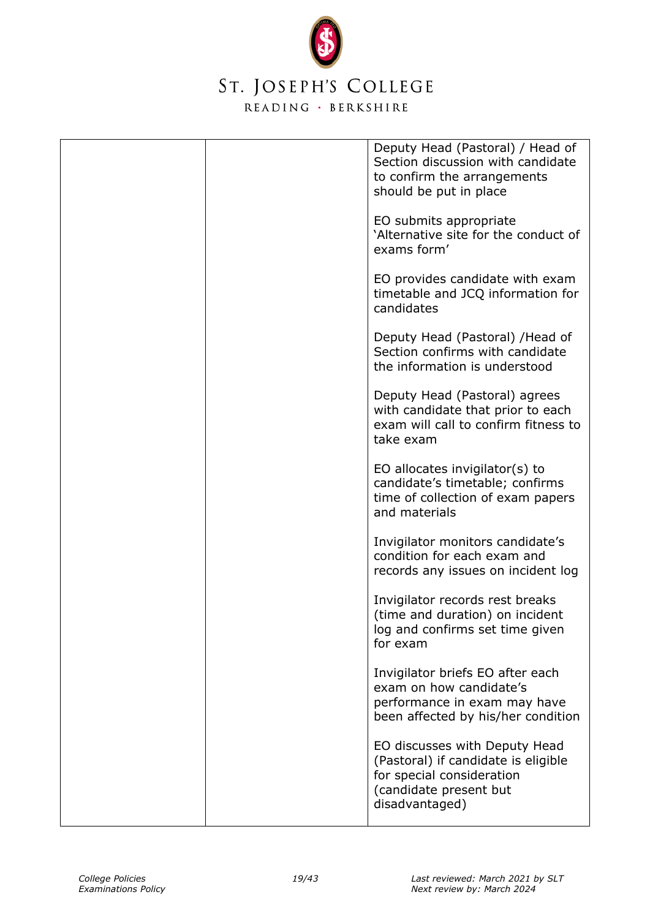

|  | Deputy Head (Pastoral) / Head of<br>Section discussion with candidate<br>to confirm the arrangements<br>should be put in place                |
|--|-----------------------------------------------------------------------------------------------------------------------------------------------|
|  | EO submits appropriate<br>'Alternative site for the conduct of<br>exams form'                                                                 |
|  | EO provides candidate with exam<br>timetable and JCQ information for<br>candidates                                                            |
|  | Deputy Head (Pastoral) / Head of<br>Section confirms with candidate<br>the information is understood                                          |
|  | Deputy Head (Pastoral) agrees<br>with candidate that prior to each<br>exam will call to confirm fitness to<br>take exam                       |
|  | EO allocates invigilator(s) to<br>candidate's timetable; confirms<br>time of collection of exam papers<br>and materials                       |
|  | Invigilator monitors candidate's<br>condition for each exam and<br>records any issues on incident log                                         |
|  | Invigilator records rest breaks<br>(time and duration) on incident<br>log and confirms set time given<br>for exam                             |
|  | Invigilator briefs EO after each<br>exam on how candidate's<br>performance in exam may have<br>been affected by his/her condition             |
|  | EO discusses with Deputy Head<br>(Pastoral) if candidate is eligible<br>for special consideration<br>(candidate present but<br>disadvantaged) |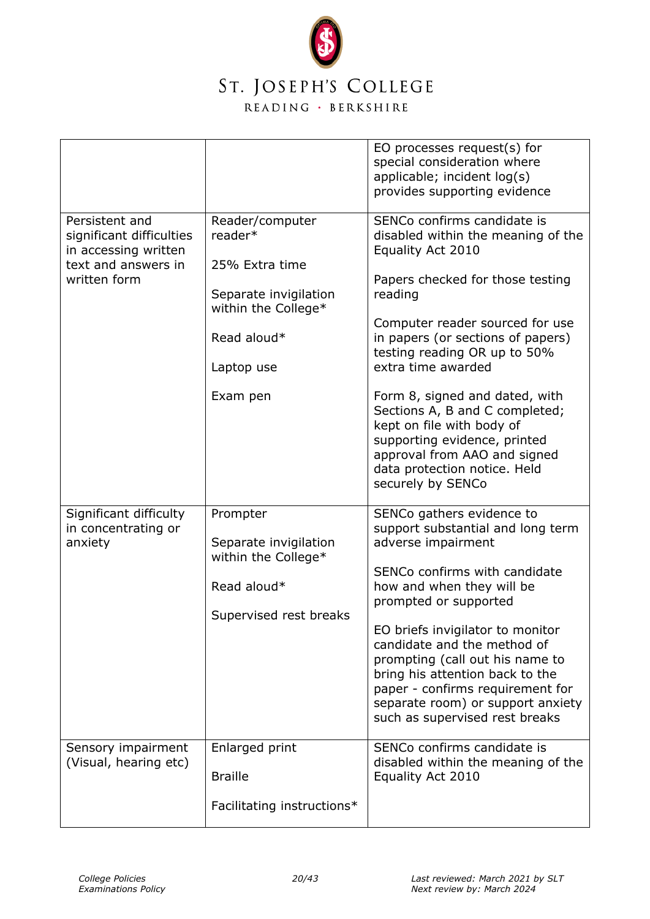

|                                                                                                           |                                                                                                                                       | EO processes request(s) for<br>special consideration where<br>applicable; incident log(s)<br>provides supporting evidence                                                                                                                                                                                                                                                                                                                                                                 |
|-----------------------------------------------------------------------------------------------------------|---------------------------------------------------------------------------------------------------------------------------------------|-------------------------------------------------------------------------------------------------------------------------------------------------------------------------------------------------------------------------------------------------------------------------------------------------------------------------------------------------------------------------------------------------------------------------------------------------------------------------------------------|
| Persistent and<br>significant difficulties<br>in accessing written<br>text and answers in<br>written form | Reader/computer<br>reader*<br>25% Extra time<br>Separate invigilation<br>within the College*<br>Read aloud*<br>Laptop use<br>Exam pen | SENCo confirms candidate is<br>disabled within the meaning of the<br>Equality Act 2010<br>Papers checked for those testing<br>reading<br>Computer reader sourced for use<br>in papers (or sections of papers)<br>testing reading OR up to 50%<br>extra time awarded<br>Form 8, signed and dated, with<br>Sections A, B and C completed;<br>kept on file with body of<br>supporting evidence, printed<br>approval from AAO and signed<br>data protection notice. Held<br>securely by SENCo |
| Significant difficulty<br>in concentrating or<br>anxiety                                                  | Prompter<br>Separate invigilation<br>within the College*<br>Read aloud*<br>Supervised rest breaks                                     | SENCo gathers evidence to<br>support substantial and long term<br>adverse impairment<br>SENCo confirms with candidate<br>how and when they will be<br>prompted or supported<br>EO briefs invigilator to monitor<br>candidate and the method of<br>prompting (call out his name to<br>bring his attention back to the<br>paper - confirms requirement for<br>separate room) or support anxiety<br>such as supervised rest breaks                                                           |
| Sensory impairment<br>(Visual, hearing etc)                                                               | Enlarged print<br><b>Braille</b><br>Facilitating instructions*                                                                        | SENCo confirms candidate is<br>disabled within the meaning of the<br>Equality Act 2010                                                                                                                                                                                                                                                                                                                                                                                                    |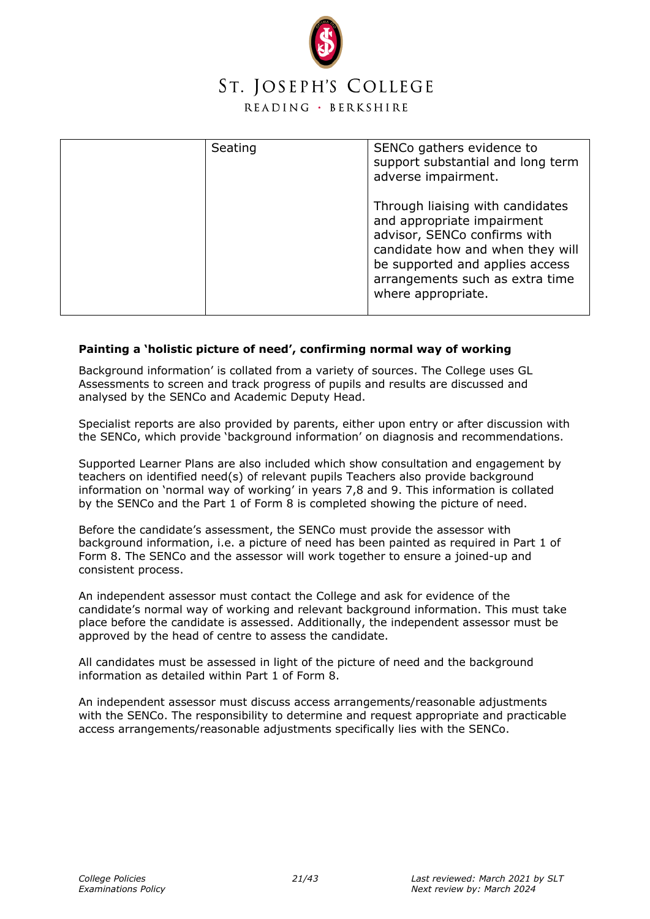

| Seating | SENCo gathers evidence to<br>support substantial and long term<br>adverse impairment.                                                                                                                                          |
|---------|--------------------------------------------------------------------------------------------------------------------------------------------------------------------------------------------------------------------------------|
|         | Through liaising with candidates<br>and appropriate impairment<br>advisor, SENCo confirms with<br>candidate how and when they will<br>be supported and applies access<br>arrangements such as extra time<br>where appropriate. |

#### **Painting a 'holistic picture of need', confirming normal way of working**

Background information' is collated from a variety of sources. The College uses GL Assessments to screen and track progress of pupils and results are discussed and analysed by the SENCo and Academic Deputy Head.

Specialist reports are also provided by parents, either upon entry or after discussion with the SENCo, which provide 'background information' on diagnosis and recommendations.

Supported Learner Plans are also included which show consultation and engagement by teachers on identified need(s) of relevant pupils Teachers also provide background information on 'normal way of working' in years 7,8 and 9. This information is collated by the SENCo and the Part 1 of Form 8 is completed showing the picture of need.

Before the candidate's assessment, the SENCo must provide the assessor with background information, i.e. a picture of need has been painted as required in Part 1 of Form 8. The SENCo and the assessor will work together to ensure a joined-up and consistent process.

An independent assessor must contact the College and ask for evidence of the candidate's normal way of working and relevant background information. This must take place before the candidate is assessed. Additionally, the independent assessor must be approved by the head of centre to assess the candidate.

All candidates must be assessed in light of the picture of need and the background information as detailed within Part 1 of Form 8.

An independent assessor must discuss access arrangements/reasonable adjustments with the SENCo. The responsibility to determine and request appropriate and practicable access arrangements/reasonable adjustments specifically lies with the SENCo.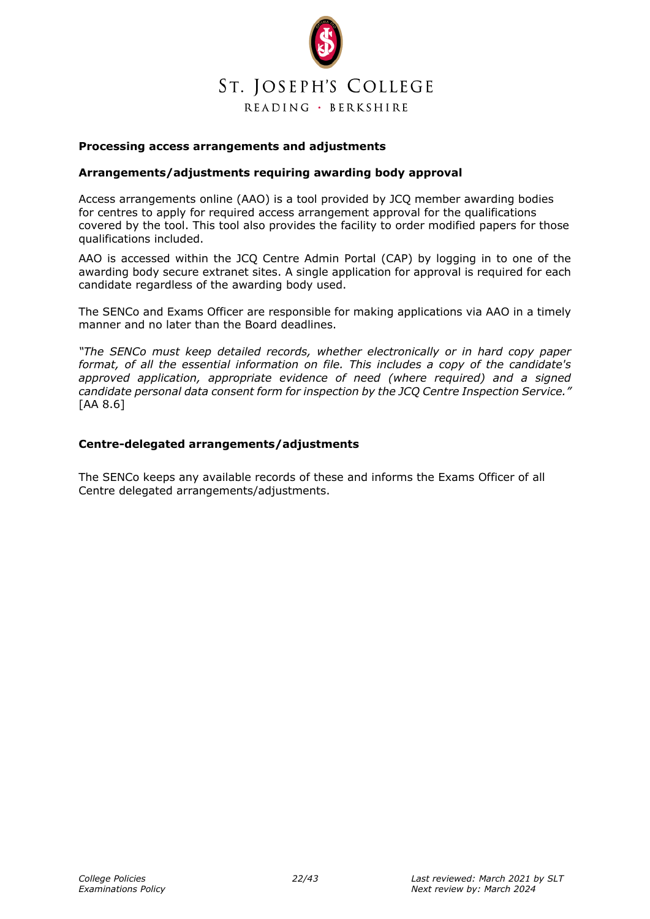

#### **Processing access arrangements and adjustments**

#### **Arrangements/adjustments requiring awarding body approval**

Access arrangements online (AAO) is a tool provided by JCQ member awarding bodies for centres to apply for required access arrangement approval for the qualifications covered by the tool. This tool also provides the facility to order modified papers for those qualifications included.

AAO is accessed within the JCQ Centre Admin Portal (CAP) by logging in to one of the awarding body secure extranet sites. A single application for approval is required for each candidate regardless of the awarding body used.

The SENCo and Exams Officer are responsible for making applications via AAO in a timely manner and no later than the Board deadlines.

*"The SENCo must keep detailed records, whether electronically or in hard copy paper format, of all the essential information on file. This includes a copy of the candidate's approved application, appropriate evidence of need (where required) and a signed candidate personal data consent form for inspection by the JCQ Centre Inspection Service."*  [AA 8.6]

#### **Centre-delegated arrangements/adjustments**

The SENCo keeps any available records of these and informs the Exams Officer of all Centre delegated arrangements/adjustments.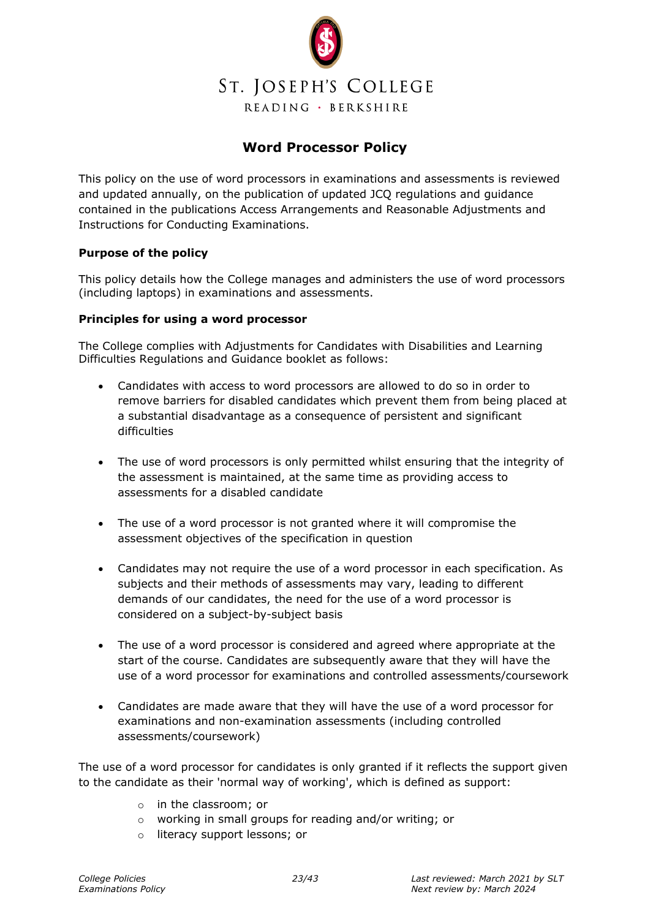

## **Word Processor Policy**

<span id="page-22-0"></span>This policy on the use of word processors in examinations and assessments is reviewed and updated annually, on the publication of updated JCQ regulations and guidance contained in the publications Access Arrangements and Reasonable Adjustments and Instructions for Conducting Examinations.

#### **Purpose of the policy**

This policy details how the College manages and administers the use of word processors (including laptops) in examinations and assessments.

#### **Principles for using a word processor**

The College complies with Adjustments for Candidates with Disabilities and Learning Difficulties Regulations and Guidance booklet as follows:

- Candidates with access to word processors are allowed to do so in order to remove barriers for disabled candidates which prevent them from being placed at a substantial disadvantage as a consequence of persistent and significant difficulties
- The use of word processors is only permitted whilst ensuring that the integrity of the assessment is maintained, at the same time as providing access to assessments for a disabled candidate
- The use of a word processor is not granted where it will compromise the assessment objectives of the specification in question
- Candidates may not require the use of a word processor in each specification. As subjects and their methods of assessments may vary, leading to different demands of our candidates, the need for the use of a word processor is considered on a subject-by-subject basis
- The use of a word processor is considered and agreed where appropriate at the start of the course. Candidates are subsequently aware that they will have the use of a word processor for examinations and controlled assessments/coursework
- Candidates are made aware that they will have the use of a word processor for examinations and non-examination assessments (including controlled assessments/coursework)

The use of a word processor for candidates is only granted if it reflects the support given to the candidate as their 'normal way of working', which is defined as support:

- o in the classroom; or
- o working in small groups for reading and/or writing; or
- o literacy support lessons; or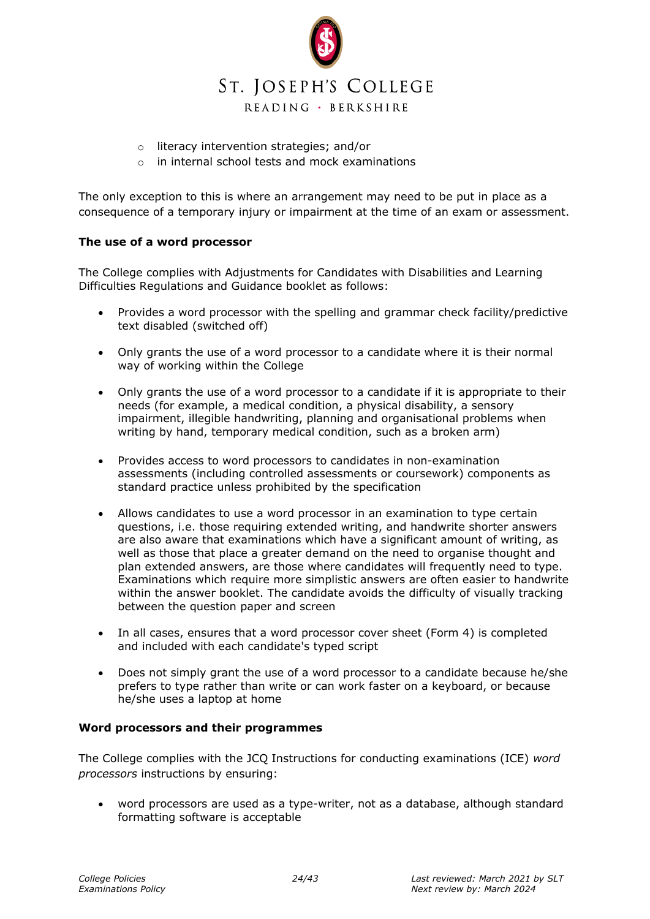

- o literacy intervention strategies; and/or
- o in internal school tests and mock examinations

The only exception to this is where an arrangement may need to be put in place as a consequence of a temporary injury or impairment at the time of an exam or assessment.

#### **The use of a word processor**

The College complies with Adjustments for Candidates with Disabilities and Learning Difficulties Regulations and Guidance booklet as follows:

- Provides a word processor with the spelling and grammar check facility/predictive text disabled (switched off)
- Only grants the use of a word processor to a candidate where it is their normal way of working within the College
- Only grants the use of a word processor to a candidate if it is appropriate to their needs (for example, a medical condition, a physical disability, a sensory impairment, illegible handwriting, planning and organisational problems when writing by hand, temporary medical condition, such as a broken arm)
- Provides access to word processors to candidates in non-examination assessments (including controlled assessments or coursework) components as standard practice unless prohibited by the specification
- Allows candidates to use a word processor in an examination to type certain questions, i.e. those requiring extended writing, and handwrite shorter answers are also aware that examinations which have a significant amount of writing, as well as those that place a greater demand on the need to organise thought and plan extended answers, are those where candidates will frequently need to type. Examinations which require more simplistic answers are often easier to handwrite within the answer booklet. The candidate avoids the difficulty of visually tracking between the question paper and screen
- In all cases, ensures that a word processor cover sheet (Form 4) is completed and included with each candidate's typed script
- Does not simply grant the use of a word processor to a candidate because he/she prefers to type rather than write or can work faster on a keyboard, or because he/she uses a laptop at home

#### **Word processors and their programmes**

The College complies with the JCQ Instructions for conducting examinations (ICE) *word processors* instructions by ensuring:

• word processors are used as a type-writer, not as a database, although standard formatting software is acceptable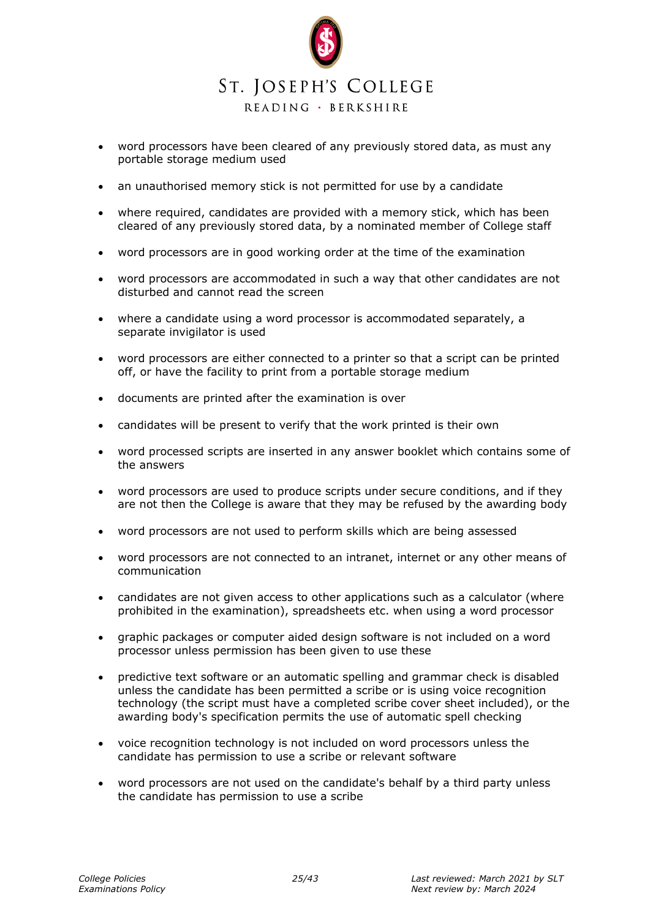

- word processors have been cleared of any previously stored data, as must any portable storage medium used
- an unauthorised memory stick is not permitted for use by a candidate
- where required, candidates are provided with a memory stick, which has been cleared of any previously stored data, by a nominated member of College staff
- word processors are in good working order at the time of the examination
- word processors are accommodated in such a way that other candidates are not disturbed and cannot read the screen
- where a candidate using a word processor is accommodated separately, a separate invigilator is used
- word processors are either connected to a printer so that a script can be printed off, or have the facility to print from a portable storage medium
- documents are printed after the examination is over
- candidates will be present to verify that the work printed is their own
- word processed scripts are inserted in any answer booklet which contains some of the answers
- word processors are used to produce scripts under secure conditions, and if they are not then the College is aware that they may be refused by the awarding body
- word processors are not used to perform skills which are being assessed
- word processors are not connected to an intranet, internet or any other means of communication
- candidates are not given access to other applications such as a calculator (where prohibited in the examination), spreadsheets etc. when using a word processor
- graphic packages or computer aided design software is not included on a word processor unless permission has been given to use these
- predictive text software or an automatic spelling and grammar check is disabled unless the candidate has been permitted a scribe or is using voice recognition technology (the script must have a completed scribe cover sheet included), or the awarding body's specification permits the use of automatic spell checking
- voice recognition technology is not included on word processors unless the candidate has permission to use a scribe or relevant software
- word processors are not used on the candidate's behalf by a third party unless the candidate has permission to use a scribe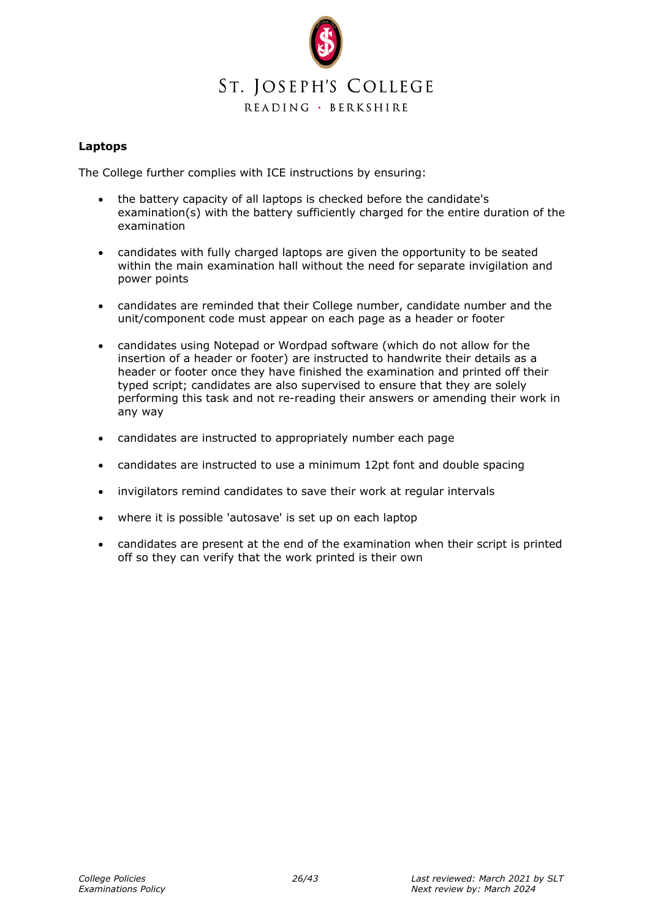

#### **Laptops**

The College further complies with ICE instructions by ensuring:

- the battery capacity of all laptops is checked before the candidate's examination(s) with the battery sufficiently charged for the entire duration of the examination
- candidates with fully charged laptops are given the opportunity to be seated within the main examination hall without the need for separate invigilation and power points
- candidates are reminded that their College number, candidate number and the unit/component code must appear on each page as a header or footer
- candidates using Notepad or Wordpad software (which do not allow for the insertion of a header or footer) are instructed to handwrite their details as a header or footer once they have finished the examination and printed off their typed script; candidates are also supervised to ensure that they are solely performing this task and not re-reading their answers or amending their work in any way
- candidates are instructed to appropriately number each page
- candidates are instructed to use a minimum 12pt font and double spacing
- invigilators remind candidates to save their work at regular intervals
- where it is possible 'autosave' is set up on each laptop
- candidates are present at the end of the examination when their script is printed off so they can verify that the work printed is their own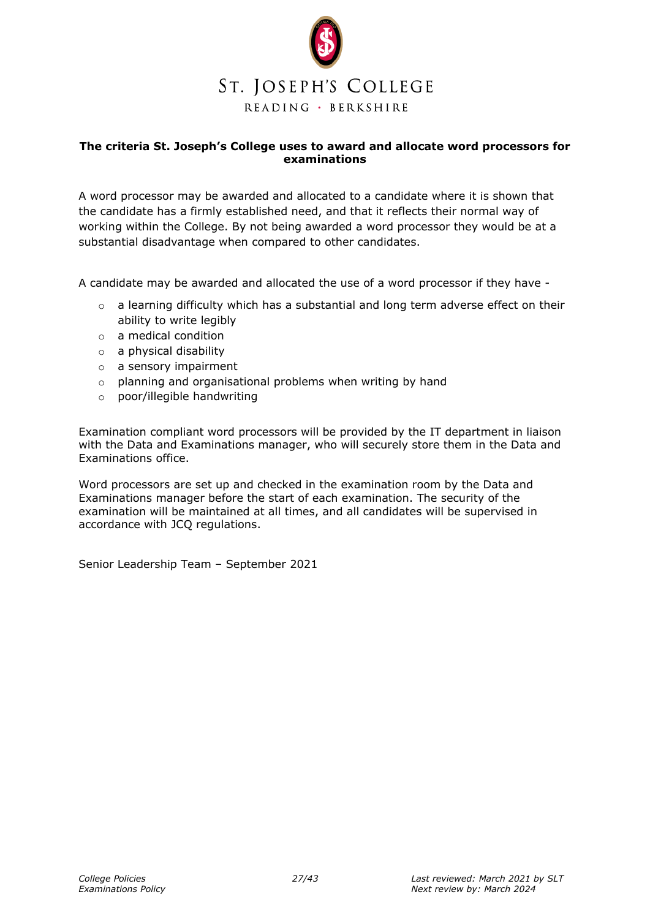

#### <span id="page-26-0"></span>**The criteria St. Joseph's College uses to award and allocate word processors for examinations**

A word processor may be awarded and allocated to a candidate where it is shown that the candidate has a firmly established need, and that it reflects their normal way of working within the College. By not being awarded a word processor they would be at a substantial disadvantage when compared to other candidates.

A candidate may be awarded and allocated the use of a word processor if they have -

- $\circ$  a learning difficulty which has a substantial and long term adverse effect on their ability to write legibly
- o a medical condition
- o a physical disability
- o a sensory impairment
- o planning and organisational problems when writing by hand
- o poor/illegible handwriting

Examination compliant word processors will be provided by the IT department in liaison with the Data and Examinations manager, who will securely store them in the Data and Examinations office.

Word processors are set up and checked in the examination room by the Data and Examinations manager before the start of each examination. The security of the examination will be maintained at all times, and all candidates will be supervised in accordance with JCQ regulations.

Senior Leadership Team – September 2021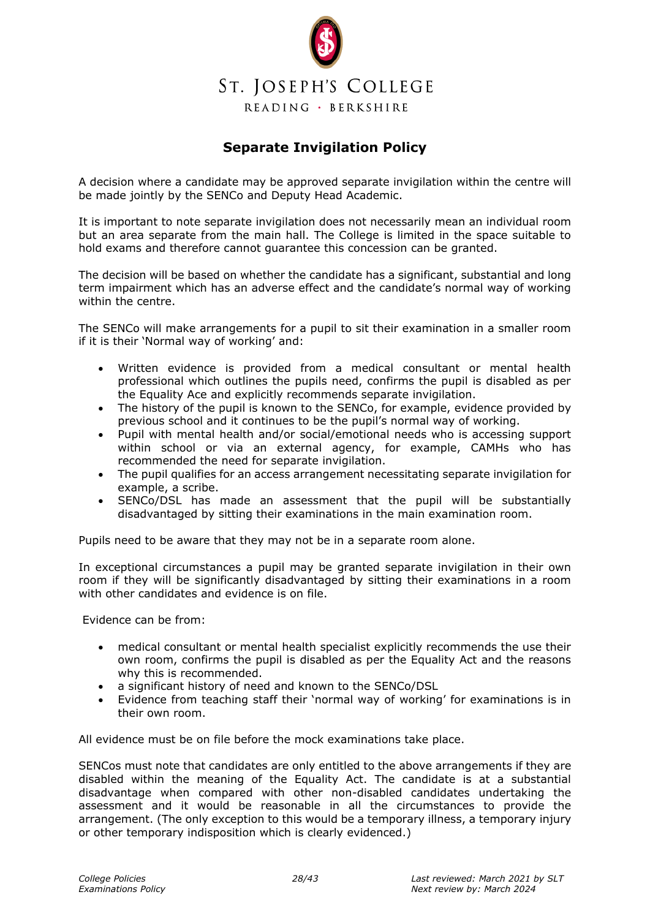

## **Separate Invigilation Policy**

<span id="page-27-0"></span>A decision where a candidate may be approved separate invigilation within the centre will be made jointly by the SENCo and Deputy Head Academic.

It is important to note separate invigilation does not necessarily mean an individual room but an area separate from the main hall. The College is limited in the space suitable to hold exams and therefore cannot guarantee this concession can be granted.

The decision will be based on whether the candidate has a significant, substantial and long term impairment which has an adverse effect and the candidate's normal way of working within the centre.

The SENCo will make arrangements for a pupil to sit their examination in a smaller room if it is their 'Normal way of working' and:

- Written evidence is provided from a medical consultant or mental health professional which outlines the pupils need, confirms the pupil is disabled as per the Equality Ace and explicitly recommends separate invigilation.
- The history of the pupil is known to the SENCo, for example, evidence provided by previous school and it continues to be the pupil's normal way of working.
- Pupil with mental health and/or social/emotional needs who is accessing support within school or via an external agency, for example, CAMHs who has recommended the need for separate invigilation.
- The pupil qualifies for an access arrangement necessitating separate invigilation for example, a scribe.
- SENCo/DSL has made an assessment that the pupil will be substantially disadvantaged by sitting their examinations in the main examination room.

Pupils need to be aware that they may not be in a separate room alone.

In exceptional circumstances a pupil may be granted separate invigilation in their own room if they will be significantly disadvantaged by sitting their examinations in a room with other candidates and evidence is on file.

Evidence can be from:

- medical consultant or mental health specialist explicitly recommends the use their own room, confirms the pupil is disabled as per the Equality Act and the reasons why this is recommended.
- a significant history of need and known to the SENCo/DSL
- Evidence from teaching staff their 'normal way of working' for examinations is in their own room.

All evidence must be on file before the mock examinations take place.

SENCos must note that candidates are only entitled to the above arrangements if they are disabled within the meaning of the Equality Act. The candidate is at a substantial disadvantage when compared with other non-disabled candidates undertaking the assessment and it would be reasonable in all the circumstances to provide the arrangement. (The only exception to this would be a temporary illness, a temporary injury or other temporary indisposition which is clearly evidenced.)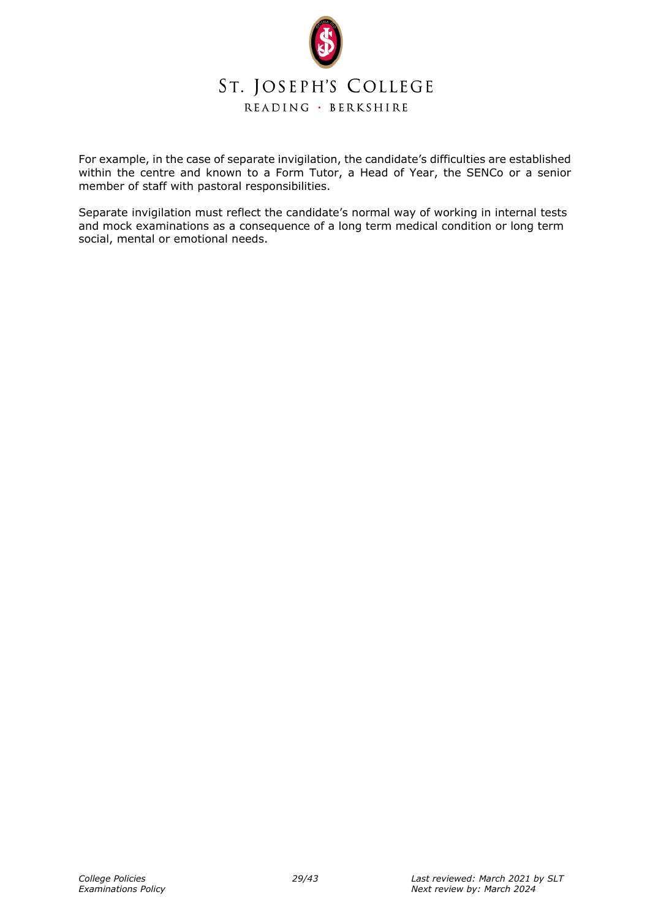

For example, in the case of separate invigilation, the candidate's difficulties are established within the centre and known to a Form Tutor, a Head of Year, the SENCo or a senior member of staff with pastoral responsibilities.

Separate invigilation must reflect the candidate's normal way of working in internal tests and mock examinations as a consequence of a long term medical condition or long term social, mental or emotional needs.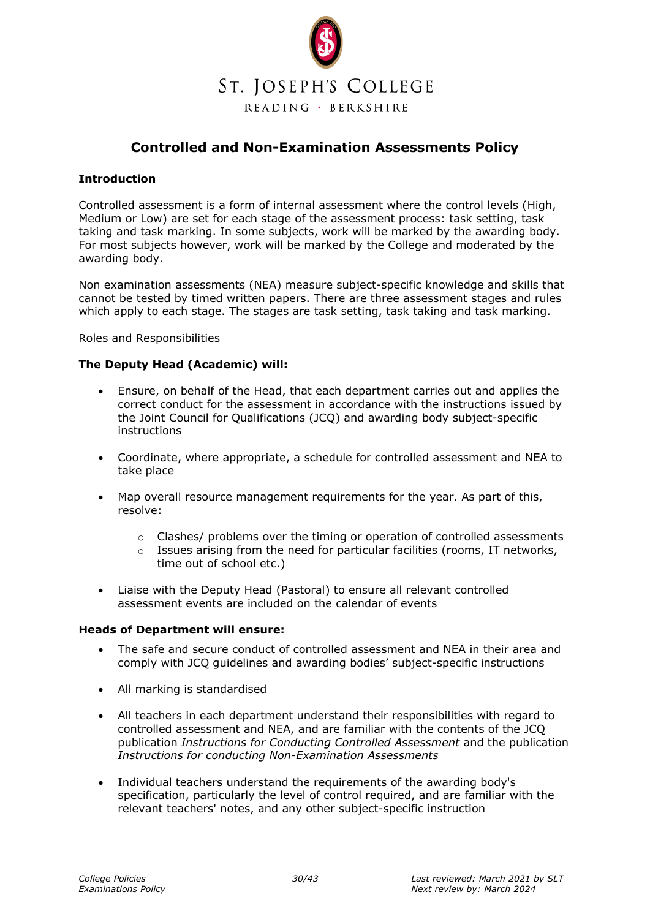

## **Controlled and Non-Examination Assessments Policy**

#### <span id="page-29-0"></span>**Introduction**

Controlled assessment is a form of internal assessment where the control levels (High, Medium or Low) are set for each stage of the assessment process: task setting, task taking and task marking. In some subjects, work will be marked by the awarding body. For most subjects however, work will be marked by the College and moderated by the awarding body.

Non examination assessments (NEA) measure subject-specific knowledge and skills that cannot be tested by timed written papers. There are three assessment stages and rules which apply to each stage. The stages are task setting, task taking and task marking.

Roles and Responsibilities

#### **The Deputy Head (Academic) will:**

- Ensure, on behalf of the Head, that each department carries out and applies the correct conduct for the assessment in accordance with the instructions issued by the Joint Council for Qualifications (JCQ) and awarding body subject-specific instructions
- Coordinate, where appropriate, a schedule for controlled assessment and NEA to take place
- Map overall resource management requirements for the year. As part of this, resolve:
	- $\circ$  Clashes/ problems over the timing or operation of controlled assessments
	- $\circ$  Issues arising from the need for particular facilities (rooms, IT networks, time out of school etc.)
- Liaise with the Deputy Head (Pastoral) to ensure all relevant controlled assessment events are included on the calendar of events

#### **Heads of Department will ensure:**

- The safe and secure conduct of controlled assessment and NEA in their area and comply with JCQ guidelines and awarding bodies' subject-specific instructions
- All marking is standardised
- All teachers in each department understand their responsibilities with regard to controlled assessment and NEA, and are familiar with the contents of the JCQ publication *Instructions for Conducting Controlled Assessment* and the publication *Instructions for conducting Non-Examination Assessments*
- Individual teachers understand the requirements of the awarding body's specification, particularly the level of control required, and are familiar with the relevant teachers' notes, and any other subject-specific instruction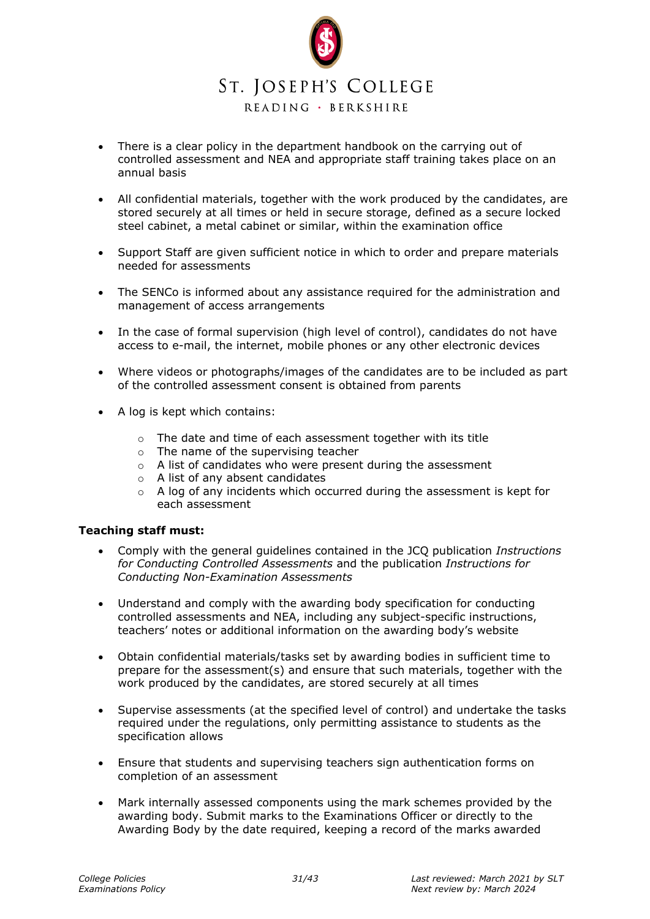

- There is a clear policy in the department handbook on the carrying out of controlled assessment and NEA and appropriate staff training takes place on an annual basis
- All confidential materials, together with the work produced by the candidates, are stored securely at all times or held in secure storage, defined as a secure locked steel cabinet, a metal cabinet or similar, within the examination office
- Support Staff are given sufficient notice in which to order and prepare materials needed for assessments
- The SENCo is informed about any assistance required for the administration and management of access arrangements
- In the case of formal supervision (high level of control), candidates do not have access to e-mail, the internet, mobile phones or any other electronic devices
- Where videos or photographs/images of the candidates are to be included as part of the controlled assessment consent is obtained from parents
- A log is kept which contains:
	- $\circ$  The date and time of each assessment together with its title
	- $\circ$  The name of the supervising teacher
	- o A list of candidates who were present during the assessment
	- o A list of any absent candidates
	- $\circ$  A log of any incidents which occurred during the assessment is kept for each assessment

#### **Teaching staff must:**

- Comply with the general guidelines contained in the JCQ publication *Instructions for Conducting Controlled Assessments* and the publication *Instructions for Conducting Non-Examination Assessments*
- Understand and comply with the awarding body specification for conducting controlled assessments and NEA, including any subject-specific instructions, teachers' notes or additional information on the awarding body's website
- Obtain confidential materials/tasks set by awarding bodies in sufficient time to prepare for the assessment(s) and ensure that such materials, together with the work produced by the candidates, are stored securely at all times
- Supervise assessments (at the specified level of control) and undertake the tasks required under the regulations, only permitting assistance to students as the specification allows
- Ensure that students and supervising teachers sign authentication forms on completion of an assessment
- Mark internally assessed components using the mark schemes provided by the awarding body. Submit marks to the Examinations Officer or directly to the Awarding Body by the date required, keeping a record of the marks awarded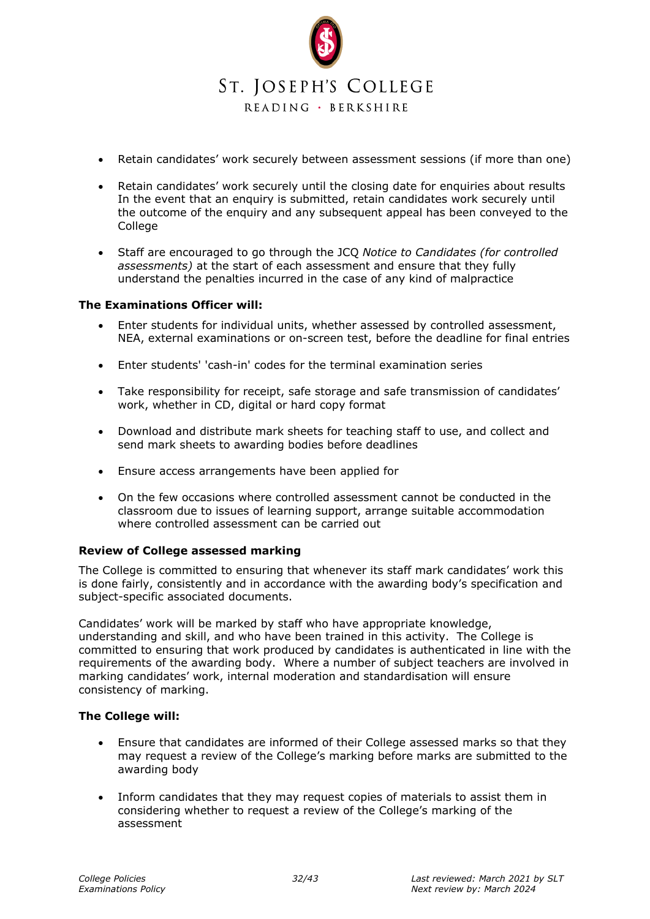

- Retain candidates' work securely between assessment sessions (if more than one)
- Retain candidates' work securely until the closing date for enquiries about results In the event that an enquiry is submitted, retain candidates work securely until the outcome of the enquiry and any subsequent appeal has been conveyed to the College
- Staff are encouraged to go through the JCQ *Notice to Candidates (for controlled assessments)* at the start of each assessment and ensure that they fully understand the penalties incurred in the case of any kind of malpractice

#### **The Examinations Officer will:**

- Enter students for individual units, whether assessed by controlled assessment, NEA, external examinations or on-screen test, before the deadline for final entries
- Enter students' 'cash-in' codes for the terminal examination series
- Take responsibility for receipt, safe storage and safe transmission of candidates' work, whether in CD, digital or hard copy format
- Download and distribute mark sheets for teaching staff to use, and collect and send mark sheets to awarding bodies before deadlines
- Ensure access arrangements have been applied for
- On the few occasions where controlled assessment cannot be conducted in the classroom due to issues of learning support, arrange suitable accommodation where controlled assessment can be carried out

#### **Review of College assessed marking**

The College is committed to ensuring that whenever its staff mark candidates' work this is done fairly, consistently and in accordance with the awarding body's specification and subject-specific associated documents.

Candidates' work will be marked by staff who have appropriate knowledge, understanding and skill, and who have been trained in this activity. The College is committed to ensuring that work produced by candidates is authenticated in line with the requirements of the awarding body. Where a number of subject teachers are involved in marking candidates' work, internal moderation and standardisation will ensure consistency of marking.

#### **The College will:**

- Ensure that candidates are informed of their College assessed marks so that they may request a review of the College's marking before marks are submitted to the awarding body
- Inform candidates that they may request copies of materials to assist them in considering whether to request a review of the College's marking of the assessment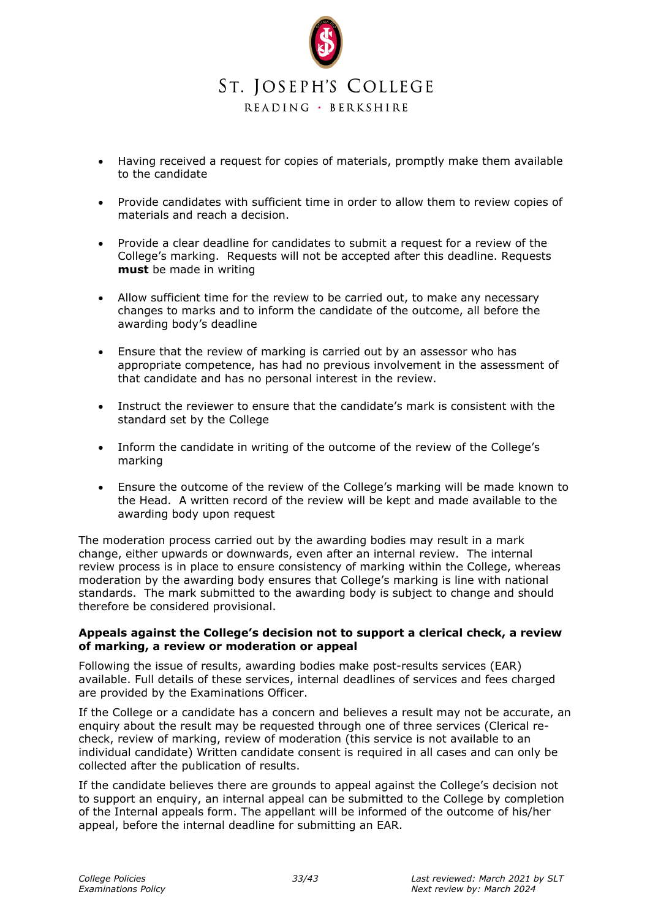

- Having received a request for copies of materials, promptly make them available to the candidate
- Provide candidates with sufficient time in order to allow them to review copies of materials and reach a decision.
- Provide a clear deadline for candidates to submit a request for a review of the College's marking. Requests will not be accepted after this deadline. Requests **must** be made in writing
- Allow sufficient time for the review to be carried out, to make any necessary changes to marks and to inform the candidate of the outcome, all before the awarding body's deadline
- Ensure that the review of marking is carried out by an assessor who has appropriate competence, has had no previous involvement in the assessment of that candidate and has no personal interest in the review.
- Instruct the reviewer to ensure that the candidate's mark is consistent with the standard set by the College
- Inform the candidate in writing of the outcome of the review of the College's marking
- Ensure the outcome of the review of the College's marking will be made known to the Head. A written record of the review will be kept and made available to the awarding body upon request

The moderation process carried out by the awarding bodies may result in a mark change, either upwards or downwards, even after an internal review. The internal review process is in place to ensure consistency of marking within the College, whereas moderation by the awarding body ensures that College's marking is line with national standards. The mark submitted to the awarding body is subject to change and should therefore be considered provisional.

#### <span id="page-32-0"></span>**Appeals against the College's decision not to support a clerical check, a review of marking, a review or moderation or appeal**

Following the issue of results, awarding bodies make post-results services (EAR) available. Full details of these services, internal deadlines of services and fees charged are provided by the Examinations Officer.

If the College or a candidate has a concern and believes a result may not be accurate, an enquiry about the result may be requested through one of three services (Clerical recheck, review of marking, review of moderation (this service is not available to an individual candidate) Written candidate consent is required in all cases and can only be collected after the publication of results.

If the candidate believes there are grounds to appeal against the College's decision not to support an enquiry, an internal appeal can be submitted to the College by completion of the Internal appeals form. The appellant will be informed of the outcome of his/her appeal, before the internal deadline for submitting an EAR.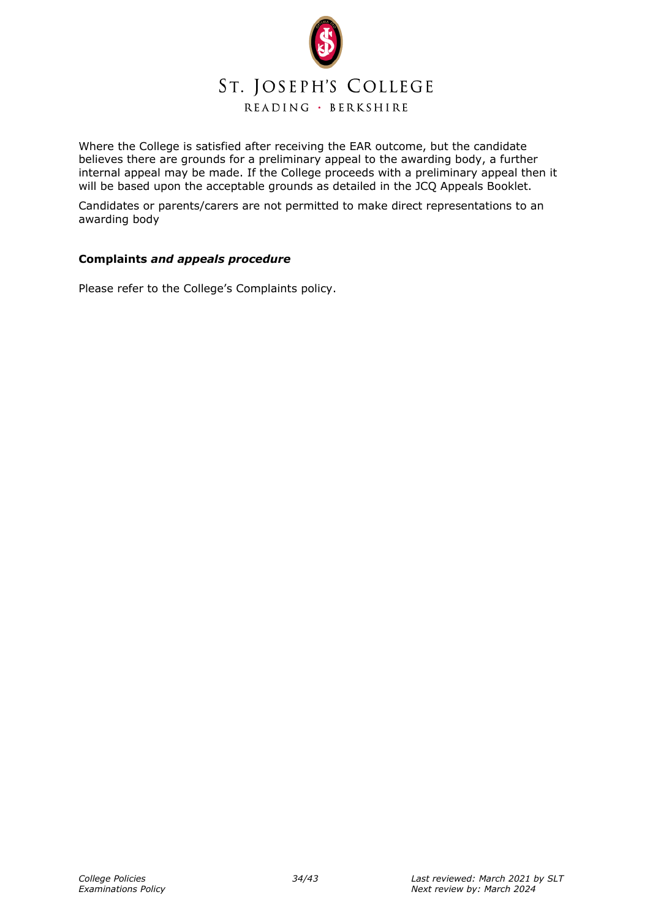

Where the College is satisfied after receiving the EAR outcome, but the candidate believes there are grounds for a preliminary appeal to the awarding body, a further internal appeal may be made. If the College proceeds with a preliminary appeal then it will be based upon the acceptable grounds as detailed in the JCO Appeals Booklet.

Candidates or parents/carers are not permitted to make direct representations to an awarding body

#### <span id="page-33-0"></span>**Complaints** *and appeals procedure*

Please refer to the College's Complaints policy.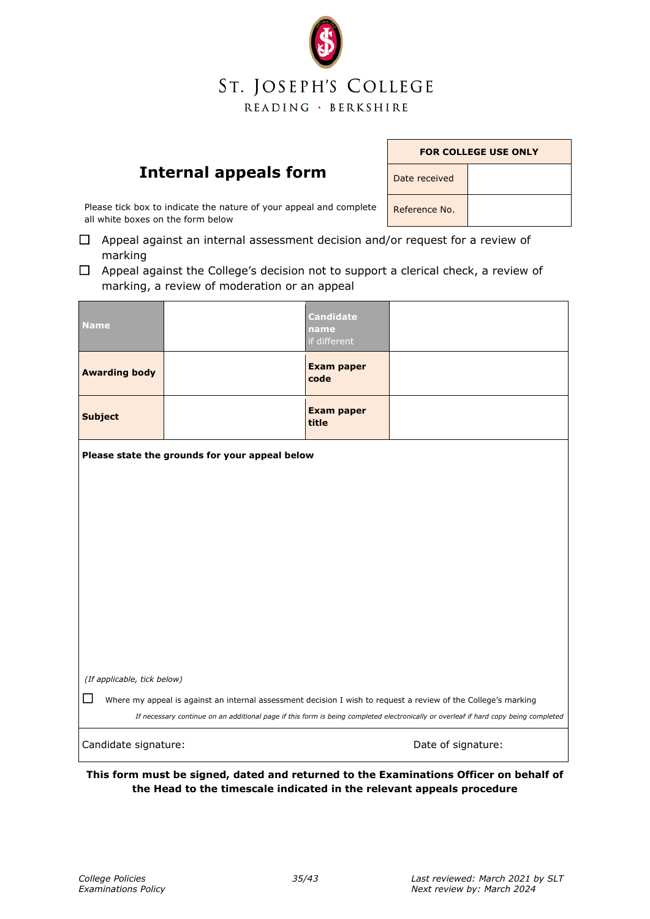# ST. JOSEPH'S COLLEGE READING · BERKSHIRE

## **Internal appeals form**

| <b>FOR COLLEGE USE ONLY</b> |  |  |
|-----------------------------|--|--|
| Date received               |  |  |
| Reference No.               |  |  |

<span id="page-34-0"></span>Please tick box to indicate the nature of your appeal and complete all white boxes on the form below

- $\Box$  Appeal against an internal assessment decision and/or request for a review of marking
- $\Box$  Appeal against the College's decision not to support a clerical check, a review of marking, a review of moderation or an appeal

| <b>Name</b>                                                                                                                                                                                                                                           |  | <b>Candidate</b><br>name<br>if different |                    |
|-------------------------------------------------------------------------------------------------------------------------------------------------------------------------------------------------------------------------------------------------------|--|------------------------------------------|--------------------|
| <b>Awarding body</b>                                                                                                                                                                                                                                  |  | <b>Exam paper</b><br>code                |                    |
| <b>Subject</b>                                                                                                                                                                                                                                        |  | <b>Exam paper</b><br>title               |                    |
| Please state the grounds for your appeal below                                                                                                                                                                                                        |  |                                          |                    |
|                                                                                                                                                                                                                                                       |  |                                          |                    |
|                                                                                                                                                                                                                                                       |  |                                          |                    |
|                                                                                                                                                                                                                                                       |  |                                          |                    |
|                                                                                                                                                                                                                                                       |  |                                          |                    |
|                                                                                                                                                                                                                                                       |  |                                          |                    |
|                                                                                                                                                                                                                                                       |  |                                          |                    |
|                                                                                                                                                                                                                                                       |  |                                          |                    |
| (If applicable, tick below)                                                                                                                                                                                                                           |  |                                          |                    |
| Where my appeal is against an internal assessment decision I wish to request a review of the College's marking<br>If necessary continue on an additional page if this form is being completed electronically or overleaf if hard copy being completed |  |                                          |                    |
| Candidate signature:                                                                                                                                                                                                                                  |  |                                          | Date of signature: |

**This form must be signed, dated and returned to the Examinations Officer on behalf of the Head to the timescale indicated in the relevant appeals procedure**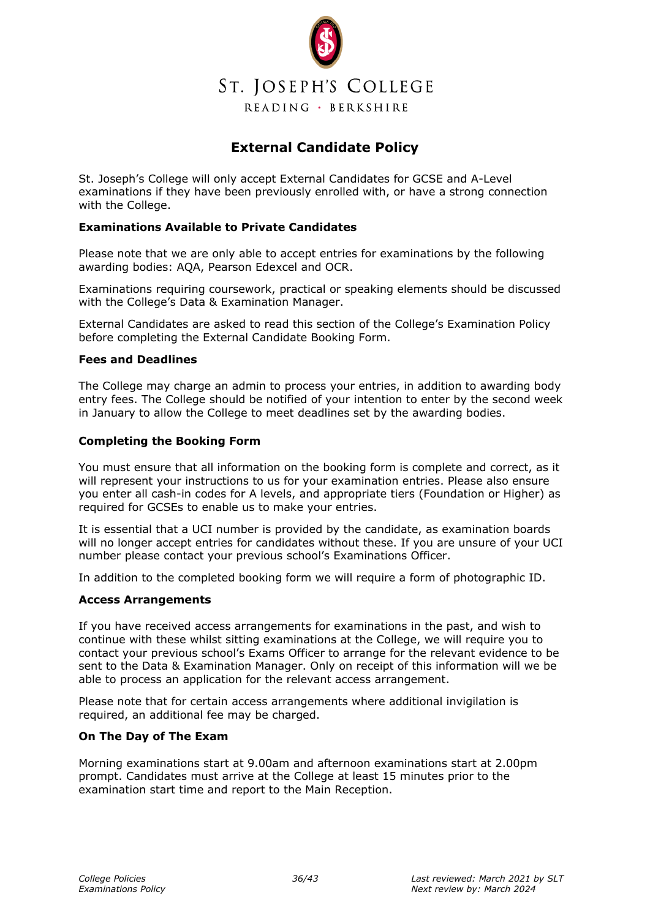

## **External Candidate Policy**

<span id="page-35-0"></span>St. Joseph's College will only accept External Candidates for GCSE and A-Level examinations if they have been previously enrolled with, or have a strong connection with the College.

#### **Examinations Available to Private Candidates**

Please note that we are only able to accept entries for examinations by the following awarding bodies: AQA, Pearson Edexcel and OCR.

Examinations requiring coursework, practical or speaking elements should be discussed with the College's Data & Examination Manager.

External Candidates are asked to read this section of the College's Examination Policy before completing the External Candidate Booking Form.

#### **Fees and Deadlines**

The College may charge an admin to process your entries, in addition to awarding body entry fees. The College should be notified of your intention to enter by the second week in January to allow the College to meet deadlines set by the awarding bodies.

#### **Completing the Booking Form**

You must ensure that all information on the booking form is complete and correct, as it will represent your instructions to us for your examination entries. Please also ensure you enter all cash-in codes for A levels, and appropriate tiers (Foundation or Higher) as required for GCSEs to enable us to make your entries.

It is essential that a UCI number is provided by the candidate, as examination boards will no longer accept entries for candidates without these. If you are unsure of your UCI number please contact your previous school's Examinations Officer.

In addition to the completed booking form we will require a form of photographic ID.

#### **Access Arrangements**

If you have received access arrangements for examinations in the past, and wish to continue with these whilst sitting examinations at the College, we will require you to contact your previous school's Exams Officer to arrange for the relevant evidence to be sent to the Data & Examination Manager. Only on receipt of this information will we be able to process an application for the relevant access arrangement.

Please note that for certain access arrangements where additional invigilation is required, an additional fee may be charged.

#### **On The Day of The Exam**

Morning examinations start at 9.00am and afternoon examinations start at 2.00pm prompt. Candidates must arrive at the College at least 15 minutes prior to the examination start time and report to the Main Reception.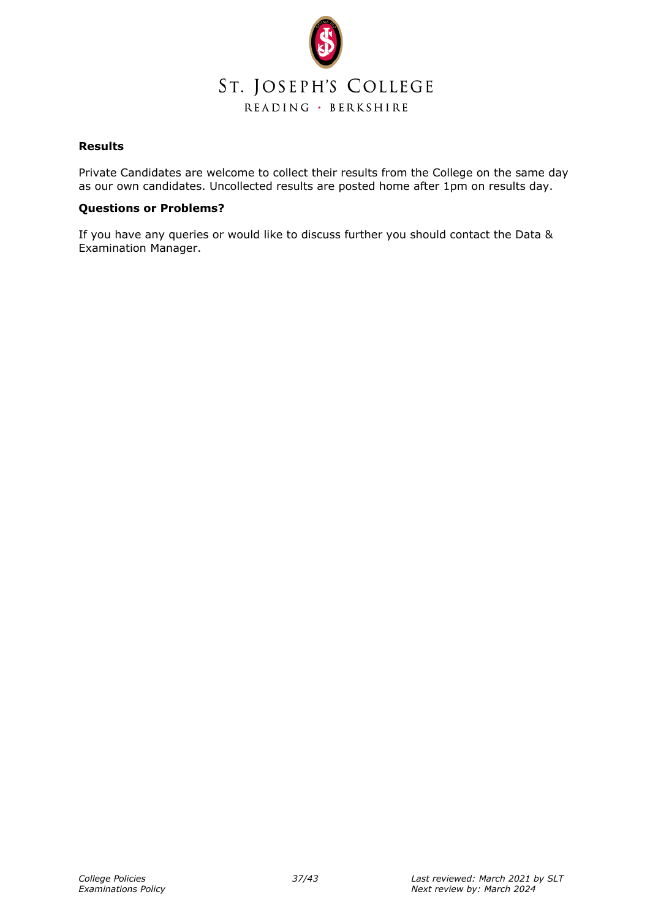

#### **Results**

Private Candidates are welcome to collect their results from the College on the same day as our own candidates. Uncollected results are posted home after 1pm on results day.

#### **Questions or Problems?**

If you have any queries or would like to discuss further you should contact the Data & Examination Manager.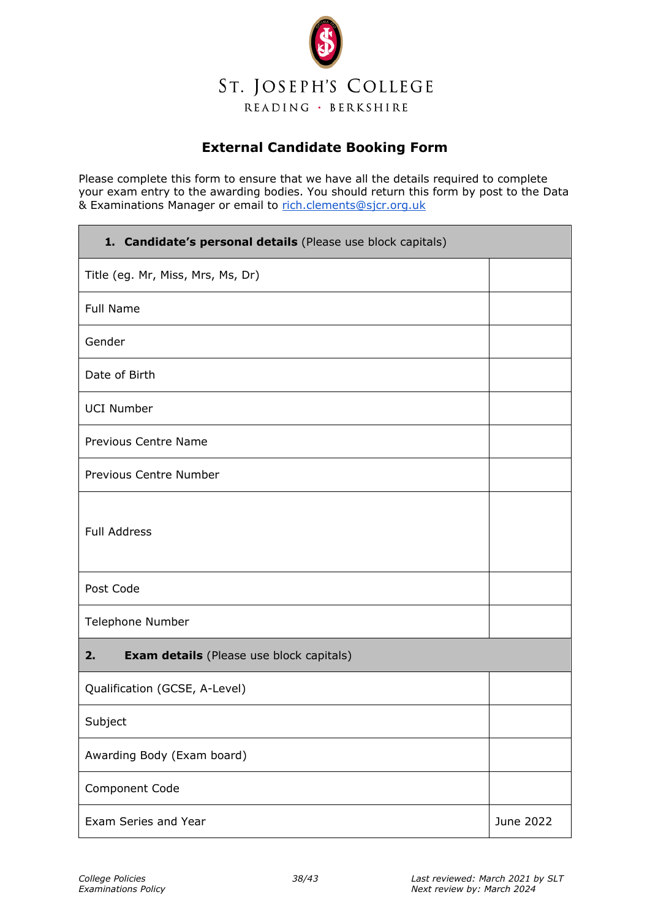

## **External Candidate Booking Form**

<span id="page-37-0"></span>Please complete this form to ensure that we have all the details required to complete your exam entry to the awarding bodies. You should return this form by post to the Data & Examinations Manager or email to [rich.clements@sjcr.org.uk](mailto:rich.clements@sjcr.org.uk)

| 1. Candidate's personal details (Please use block capitals) |           |  |
|-------------------------------------------------------------|-----------|--|
| Title (eg. Mr, Miss, Mrs, Ms, Dr)                           |           |  |
| <b>Full Name</b>                                            |           |  |
| Gender                                                      |           |  |
| Date of Birth                                               |           |  |
| <b>UCI Number</b>                                           |           |  |
| <b>Previous Centre Name</b>                                 |           |  |
| Previous Centre Number                                      |           |  |
| <b>Full Address</b>                                         |           |  |
| Post Code                                                   |           |  |
| Telephone Number                                            |           |  |
| 2.<br><b>Exam details</b> (Please use block capitals)       |           |  |
| Qualification (GCSE, A-Level)                               |           |  |
| Subject                                                     |           |  |
| Awarding Body (Exam board)                                  |           |  |
| Component Code                                              |           |  |
| Exam Series and Year                                        | June 2022 |  |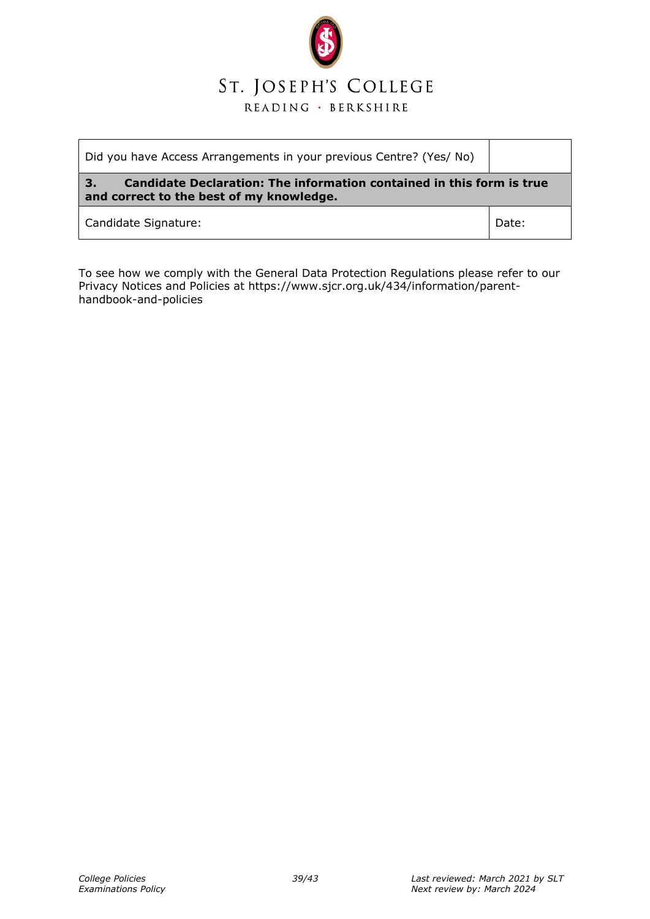

| Did you have Access Arrangements in your previous Centre? (Yes/ No)                                                            |       |  |
|--------------------------------------------------------------------------------------------------------------------------------|-------|--|
| Candidate Declaration: The information contained in this form is true<br><b>37</b><br>and correct to the best of my knowledge. |       |  |
| Candidate Signature:                                                                                                           | Date: |  |

To see how we comply with the General Data Protection Regulations please refer to our Privacy Notices and Policies at https://www.sjcr.org.uk/434/information/parenthandbook-and-policies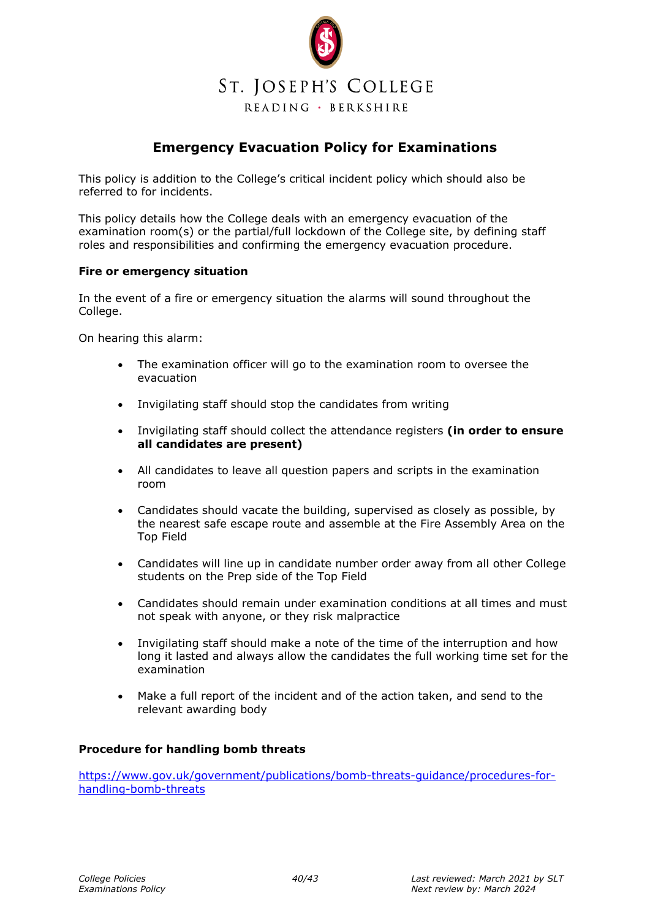

## **Emergency Evacuation Policy for Examinations**

<span id="page-39-0"></span>This policy is addition to the College's critical incident policy which should also be referred to for incidents.

This policy details how the College deals with an emergency evacuation of the examination room(s) or the partial/full lockdown of the College site, by defining staff roles and responsibilities and confirming the emergency evacuation procedure.

#### **Fire or emergency situation**

In the event of a fire or emergency situation the alarms will sound throughout the College.

On hearing this alarm:

- The examination officer will go to the examination room to oversee the evacuation
- Invigilating staff should stop the candidates from writing
- Invigilating staff should collect the attendance registers **(in order to ensure all candidates are present)**
- All candidates to leave all question papers and scripts in the examination room
- Candidates should vacate the building, supervised as closely as possible, by the nearest safe escape route and assemble at the Fire Assembly Area on the Top Field
- Candidates will line up in candidate number order away from all other College students on the Prep side of the Top Field
- Candidates should remain under examination conditions at all times and must not speak with anyone, or they risk malpractice
- Invigilating staff should make a note of the time of the interruption and how long it lasted and always allow the candidates the full working time set for the examination
- Make a full report of the incident and of the action taken, and send to the relevant awarding body

#### **Procedure for handling bomb threats**

[https://www.gov.uk/government/publications/bomb-threats-guidance/procedures-for](https://www.gov.uk/government/publications/bomb-threats-guidance/procedures-for-handling-bomb-threats)[handling-bomb-threats](https://www.gov.uk/government/publications/bomb-threats-guidance/procedures-for-handling-bomb-threats)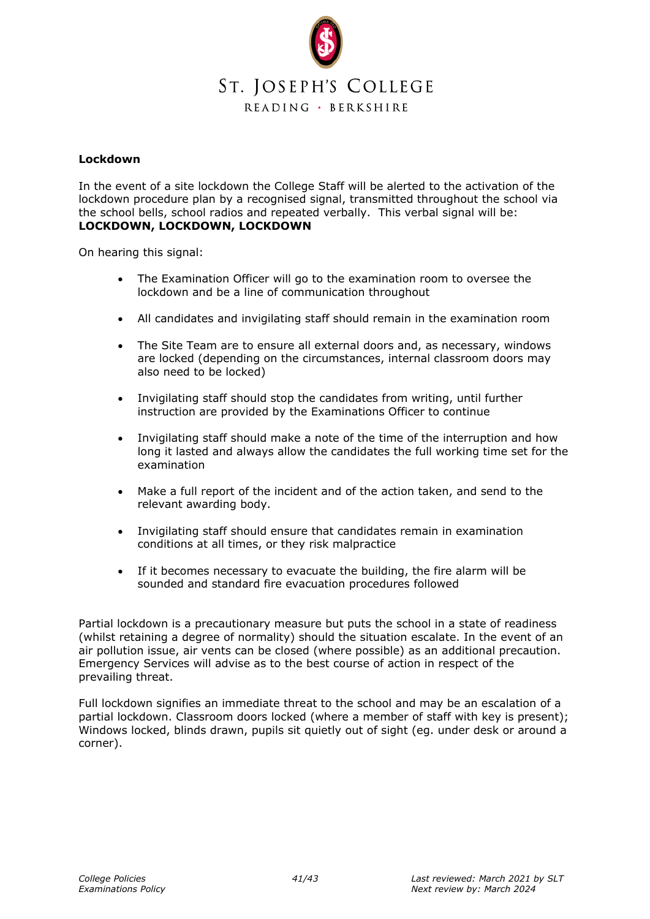

#### **Lockdown**

In the event of a site lockdown the College Staff will be alerted to the activation of the lockdown procedure plan by a recognised signal, transmitted throughout the school via the school bells, school radios and repeated verbally. This verbal signal will be: **LOCKDOWN, LOCKDOWN, LOCKDOWN**

On hearing this signal:

- The Examination Officer will go to the examination room to oversee the lockdown and be a line of communication throughout
- All candidates and invigilating staff should remain in the examination room
- The Site Team are to ensure all external doors and, as necessary, windows are locked (depending on the circumstances, internal classroom doors may also need to be locked)
- Invigilating staff should stop the candidates from writing, until further instruction are provided by the Examinations Officer to continue
- Invigilating staff should make a note of the time of the interruption and how long it lasted and always allow the candidates the full working time set for the examination
- Make a full report of the incident and of the action taken, and send to the relevant awarding body.
- Invigilating staff should ensure that candidates remain in examination conditions at all times, or they risk malpractice
- If it becomes necessary to evacuate the building, the fire alarm will be sounded and standard fire evacuation procedures followed

Partial lockdown is a precautionary measure but puts the school in a state of readiness (whilst retaining a degree of normality) should the situation escalate. In the event of an air pollution issue, air vents can be closed (where possible) as an additional precaution. Emergency Services will advise as to the best course of action in respect of the prevailing threat.

Full lockdown signifies an immediate threat to the school and may be an escalation of a partial lockdown. Classroom doors locked (where a member of staff with key is present); Windows locked, blinds drawn, pupils sit quietly out of sight (eg. under desk or around a corner).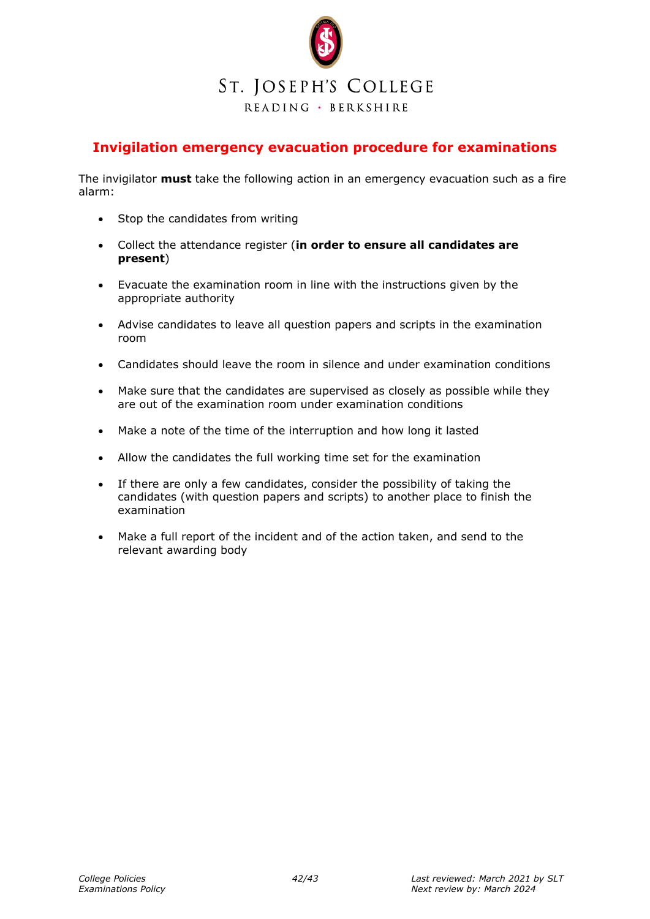

## <span id="page-41-0"></span>**Invigilation emergency evacuation procedure for examinations**

The invigilator **must** take the following action in an emergency evacuation such as a fire alarm:

- Stop the candidates from writing
- Collect the attendance register (**in order to ensure all candidates are present**)
- Evacuate the examination room in line with the instructions given by the appropriate authority
- Advise candidates to leave all question papers and scripts in the examination room
- Candidates should leave the room in silence and under examination conditions
- Make sure that the candidates are supervised as closely as possible while they are out of the examination room under examination conditions
- Make a note of the time of the interruption and how long it lasted
- Allow the candidates the full working time set for the examination
- If there are only a few candidates, consider the possibility of taking the candidates (with question papers and scripts) to another place to finish the examination
- Make a full report of the incident and of the action taken, and send to the relevant awarding body